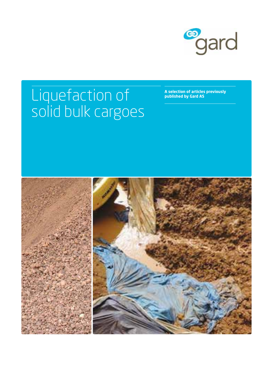

# Liquefaction of solid bulk cargoes

**A selection of articles previously published by Gard AS**

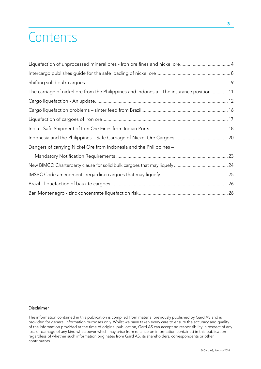### **Contents**

| The carriage of nickel ore from the Philippines and Indonesia - The insurance position  11 |  |
|--------------------------------------------------------------------------------------------|--|
|                                                                                            |  |
|                                                                                            |  |
|                                                                                            |  |
|                                                                                            |  |
|                                                                                            |  |
| Dangers of carrying Nickel Ore from Indonesia and the Philippines -                        |  |
|                                                                                            |  |
|                                                                                            |  |
|                                                                                            |  |
|                                                                                            |  |
|                                                                                            |  |

#### Disclaimer

The information contained in this publication is compiled from material previously published by Gard AS and is provided for general information purposes only. Whilst we have taken every care to ensure the accuracy and quality of the information provided at the time of original publication, Gard AS can accept no responsibility in respect of any loss or damage of any kind whatsoever which may arise from reliance on information contained in this publication regardless of whether such information originates from Gard AS, its shareholders, correspondents or other contributors.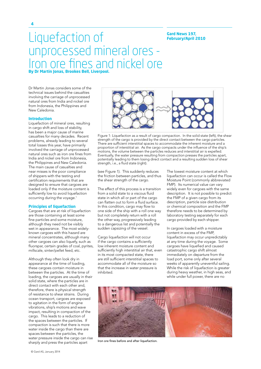#### **Gard News 197, February/April 2010**

## Liquefaction of unprocessed mineral ores - Iron ore fines and nickel ore **By Dr Martin Jonas, Brookes Bell, Liverpool.**

Dr Martin Jonas considers some of the technical issues behind the casualties involving the carriage of unprocessed natural ores from India and nickel ore from Indonesia, the Philippines and New Caledonia.

#### **Introduction**

Liquefaction of mineral ores, resulting in cargo shift and loss of stability, has been a major cause of marine casualties for many decades. Recent problems, already leading to several total losses this year, have primarily involved the carriage of unprocessed natural ores such as iron ore fines from India and nickel ore from Indonesia, the Philippines and New Caledonia. The main cause of casualties and near misses is the poor compliance of shippers with the testing and certification requirements that are designed to ensure that cargoes are loaded only if the moisture content is sufficiently low to avoid liquefaction occurring during the voyage.<sup>1</sup>

#### **Principles of liquefaction**

Cargoes that are at risk of liquefaction are those containing at least some fine particles and some moisture, although they need not be visibly wet in appearance. The most widelyknown cargoes with this hazard are mineral concentrates, although many other cargoes can also liquefy, such as fluorspar, certain grades of coal, pyrites, millscale, sinter/pellet feed, etc.

Although they often look dry in appearance at the time of loading, these cargoes contain moisture in between the particles. At the time of loading, the cargoes are usually in their solid state, where the particles are in direct contact with each other and, therefore, there is physical strength of resistance to shear strains. During ocean transport, cargoes are exposed to agitation in the form of engine vibrations, ship's motions and wave impact, resulting in compaction of the cargo. This leads to a reduction of the spaces between the particles. If compaction is such that there is more water inside the cargo than there are spaces between the particles, the water pressure inside the cargo can rise sharply and press the particles apart



Figure 1: Liquefaction as a result of cargo compaction. In the solid state (left), the shear strength of the cargo is provided by the direct contact between the cargo particles. There are sufficient interstitial spaces to accommodate the inherent moisture and a proportion of interstitial air. As the cargo compacts under the influence of the ship's motions, the volume between the particles reduces and interstitial air is expelled. Eventually, the water pressure resulting from compaction presses the particles apart, potentially leading to them losing direct contact and a resulting sudden loss of shear strength, i.e., a fluid state (right).

(see Figure 1). This suddenly reduces the friction between particles, and thus the shear strength of the cargo.

The effect of this process is a transition from a solid state to a viscous fluid state in which all or part of the cargo can flatten out to form a fluid surface. In this condition, cargo may flow to one side of the ship with a roll one way but not completely return with a roll the other way, progressively leading to a dangerous list and potentially the sudden capsizing of the vessel.

Cargo liquefaction will not occur if the cargo contains a sufficiently low inherent moisture content and sufficiently high interstitial air that, even in its most compacted state, there are still sufficient interstitial spaces to accommodate all of the moisture so that the increase in water pressure is inhibited.

The lowest moisture content at which liquefaction can occur is called the Flow Moisture Point (commonly abbreviated FMP). Its numerical value can vary widely even for cargoes with the same description. It is not possible to predict the FMP of a given cargo from its description, particle size distribution or chemical composition and the FMP therefore needs to be determined by laboratory testing separately for each cargo provided by each shipper.

In cargoes loaded with a moisture content in excess of the FMP, liquefaction may occur unpredictably at any time during the voyage. Some cargoes have liquefied and caused catastrophic cargo shift almost immediately on departure from the load port, some only after several weeks of apparently uneventful sailing. While the risk of liquefaction is greater during heavy weather, in high seas, and while under full power, there are no



Iron ore fines before and after liquefaction.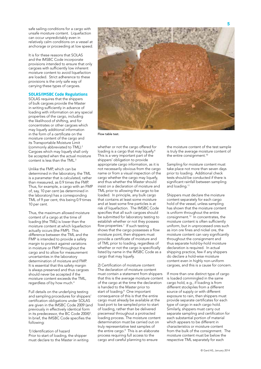safe sailing conditions for a cargo with unsafe moisture content. Liquefaction can occur unpredictably even in relatively calm conditions on a vessel at anchorage or proceeding at low speed.

It is for these reasons that SOLAS and the IMSBC Code incorporate provisions intended to ensure that only cargoes with sufficiently low inherent moisture content to avoid liquefaction are loaded. Strict adherence to these provisions is the only safe way of carrying these types of cargoes.

#### **SOLAS/IMSBC Code Regulations**

SOLAS requires that the shippers of bulk cargoes provide the Master in writing sufficiently in advance of loading with information on any special properties of the cargo, including the likelihood of shifting, and for concentrates or other cargoes which may liquefy additional information in the form of a certificate on the moisture content of the cargo and its Transportable Moisture Limit (commonly abbreviated to TML).<sup>2</sup> Cargoes which may liquefy shall only be accepted when the actual moisture content is less than the TML.<sup>3</sup>

Unlike the FMP, which can be determined in the laboratory, the TML is a parameter that is calculated, rather than measured, as 0.9 times the FMP. Thus, for example, a cargo with an FMP of, say, 10 per cent (as determined in the laboratory) has a corresponding TML of 9 per cent, this being 0.9 times 10 per cent.

Thus, the maximum allowed moisture content of a cargo at the time of loading (the TML) is lower than the moisture content at which liquefaction actually occurs (the FMP). This difference between the TML and the FMP is intended to provide a safety margin to protect against variations in moisture or FMP throughout the cargo and to allow for measurement uncertainties in the laboratory determination of moisture and FMP. It is essential that this safety margin is always preserved and thus cargoes should never be accepted if the moisture content exceeds the TML, regardless of by how much.4

Full details on the underlying testing and sampling procedures for shippers' certification obligations under SOLAS are given in the IMSBC Code 2009 (and previously in effectively identical form in its predecessor, the BC Code 2004)<sup>5</sup>. In brief, the IMSBC Code specifies the following:

1) Identification of hazard Prior to start of loading, the shipper must declare to the Master in writing



Flow table test.

whether or not the cargo offered for loading is a cargo that may liquefy.<sup>6</sup> This is a very important part of the shippers' obligation to provide appropriate cargo information, as it is not necessarily obvious from the cargo name or from a visual inspection of the cargo whether the cargo may liquefy, and thus whether the Master should insist on a declaration of moisture and TML prior to allowing the cargo to be loaded. In principle, any bulk cargo that contains at least some moisture and at least some fine particles is at risk of liquefaction. The IMSBC Code specifies that all such cargoes should be submitted for laboratory testing to establish whether or not they possess flow properties.7 If such testing shows that the cargo possesses a flow moisture point, then shippers must provide a certificate of moisture and of TML prior to loading, regardless of whether or not the cargo is specifically listed by name in the IMSBC Code as a cargo that may liquefy.

2) Certification of moisture content The declaration of moisture content must contain a statement from shippers that this is the average moisture content of the cargo at the time the declaration is handed to the Master prior to start of loading.8 One important consequence of this is that the entire cargo must already be available at the load port to be sampled prior to start of loading, rather than be delivered piecemeal throughout a protracted loading process. The moisture content determination must be carried out on truly representative test samples of the entire cargo.9 This is an elaborate process requiring full access to the cargo and careful planning to ensure

the moisture content of the test sample is truly the average moisture content of the entire consignment.<sup>10</sup>

Sampling for moisture content must take place not more than seven days prior to loading. Additional check tests should be conducted if there is significant rainfall between sampling and loading.<sup>11</sup>

Shippers must declare the moisture content separately for each cargo hold of the vessel, unless sampling has shown that the moisture content is uniform throughout the entire consignment.12 In concentrates, the moisture content is often sufficiently uniform, but in unprocessed ores such as iron ore fines and nickel ore, the moisture content can vary significantly throughout the consignment and thus separate hold-by-hold moisture declaration is required. In actual shipping practice, few if any shippers do declare a hold-wise moisture content even in highly non-uniform cargoes, and this is a cause for concern.

If more than one distinct type of cargo is loaded commingled in the same cargo hold, e.g., if loading is from different stockpiles from a different source of supply or with different exposure to rain, then shippers must provide separate certificates for each type of cargo in each cargo hold. Similarly, shippers must carry out separate sampling and certification for each substantial portion of material which appears to be different in characteristics or moisture content from the bulk of the consignment. The moisture content must be below the respective TML separately for each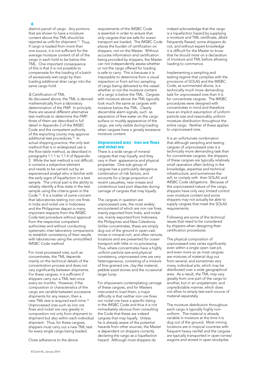#### 6

distinct parcel of cargo. Any portions that are shown to have a moisture content above the TML should be rejected as unfit for shipment.<sup>13</sup> Thus, if cargo is loaded from more than one source, it is not sufficient for the average moisture content of all of the cargo in each hold to be below the TML. One important consequence of this is that it is not possible to compensate for the loading of a batch of excessively wet cargo by then loading additional drier cargo into the same cargo hold.

#### 3) Certification of TML

As discussed above, the TML is derived mathematically from a laboratory determination of the FMP. In principle, there are several different alternative test methods to determine the FMP: three of them are described in full detail in Appendix 2 of the IMSBC Code and the competent authority of the exporting county may approve additional test procedures.<sup>14</sup> In actual shipping practice, the only test method that is in widespread use is the flow table method, as described in paragraphs 1.1.1 to 1.1.4 of Appendix 2. While the test method is not difficult, it contains a subjective element and needs to be carried out by an experienced analyst who is familiar with the early signs of liquefaction in a test sample. The critical part is the ability to reliably identify a flow state in the test sample using the criteria given in the Code.15 It is a matter of some concern that laboratories testing iron ore fines in India and nickel ore in Indonesia and the Philippines depart in many important respects from the IMSBC Code test procedure without approval from the respective competent authorities and without conducting systematic inter-laboratory comparisons to establish consistency of their results with laboratories using the unmodified IMSBC Code method.

For most processed ores, such as concentrates, the TML depends mainly on the technical details of the concentration process and does not vary significantly between shipments. For these cargoes, it is sufficient if shippers carry out a TML test once every six months. However, if the composition or characteristics of the cargo are variable between successive shipments for any reason, then a new TML test is required each time.16 Unprocessed ores such as iron ore fines and nickel ore vary greatly in composition not only from shipment to shipment but also within each individual shipment. Thus, for these cargoes, shippers must carry out a new TML test for every single cargo being loaded.

Close adherence to the above

requirements of the IMSBC Code is essential in order to ensure that only cargoes that are safe for ocean transport are loaded. The IMSBC Code places the burden of certification on shippers, not on the Master. Without accurate information and certification being provided by shippers, the Master can not independently assess whether or not the cargo offered for loading is safe to carry. This is because it is impossible to determine from a visual inspection or from ad hoc sampling of cargo being delivered to the vessel whether or not the moisture content of a cargo is below the TML. Cargoes with moisture above the TML typically look much the same as cargoes with moisture below the TML. Clearly discernible alarm signals, such as separation of free water on the cargo surface or muddy appearance of the cargo, are only visible during loading when cargoes have a grossly excessive moisture content.

#### **Unprocessed ores - Iron ore fines and nickel ore**

There is a wide range of mineral cargoes that may liquefy, and they vary in their appearance and physical properties. One sub-group of cargoes has a particularly dangerous combination of risk factors, and accounts for a large proportion of recent casualties, near misses and contentious load port disputes during carriage of cargoes that may liquefy.

The cargoes in question are unprocessed ores, the most widelyencountered of which are iron ore fines, mainly exported from India, and nickel ore, mainly exported from Indonesia, the Philippines and New Caledonia. Unlike concentrates, these are simply dug out of the ground in open-cast mines in mineral-rich, and often remote, locations and are presented for ocean transport with little or no processing. Thus, where concentrates have a highly uniform particle size and physical consistency, unprocessed ores are very heterogeneous, consisting of a mixture of fine-grained ore, clay-like material, pebble-sized stones and the occasional larger lump.

For shipowners contemplating carriage of these cargoes, and for Masters instructed to load them, a major difficulty is that neither iron ore fines nor nickel ore have a specific listing in the IMSBC Code and thus it is not immediately obvious from consulting the Code that these are indeed cargoes that may liquefy. Unless he is already aware of the potential hazards from other sources, the Master is dependent on shippers correctly declaring the cargo as a liquefaction hazard. Although most shippers do

indeed acknowledge that the cargo is a liquefaction hazard by supplying a moisture and TML certificate, albeit frequently flawed, some shippers do not, and without expert knowledge it is difficult for the Master to know that he should insist on a declaration of moisture and TML before allowing loading to commence.

Implementing a sampling and testing regime that complies with the provisions of SOLAS and the IMSBC Code, as summarised above, is a technically much more demanding task for unprocessed ores than it is for concentrate cargoes. The IMSBC procedures were designed with concentrates in mind and therefore have an implicit assumption of uniform particle size and reasonably uniform moisture distribution throughout the entire cargo. Neither of these applies to unprocessed ores.

It is an unfortunate combination that although sampling and testing cargoes of unprocessed ores is a technically more demanding task than for concentrate cargoes, the shippers of these cargoes are typically relatively small operators often lacking in the knowledge, expertise and technical infrastructure, and sometimes the will, to comply with their SOLAS and IMSBC Code obligations. Because of the unprocessed nature of the cargo, shippers have only very limited control over moisture content and some shippers may not actually be able to supply cargoes that meet the SOLAS requirements.

Following are some of the technical issues that need to be considered by shippers when designing their certification procedures.

The physical composition of unprocessed ores varies significantly even within a single open cast pit, and even more so as most cargoes are mixtures of material dug out from several, and sometimes very many, individual pits, which may be distributed over a wide geographical area. As a result, the TML may vary greatly from one part of the cargo to another, but in an unsystematic and unpredictable manner, which does not allow to simply test each source of material separately.

The moisture distribution throughout each cargo is typically highly nonuniform. The material is already variable in moisture at the time it is dug out of the ground. Most mining locations are in tropical countries with frequent heavy rainfall and the cargoes are typically transported in open lorries/ wagons and stored in open stockpiles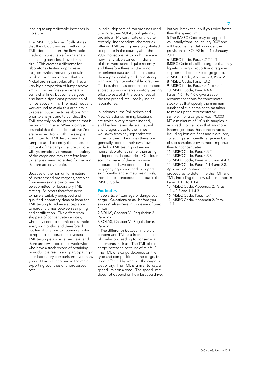leading to unpredictable increases in moisture.

The IMSBC Code specifically states that the ubiquitous test method for TML determination, the flow table method, is unsuitable for materials containing particles above 7mm in size.<sup>17</sup> This creates a dilemma for laboratories testing unprocessed cargoes, which frequently contain pebble-like stones above that size. Nickel ore, in particular, often has a very high proportion of lumps above 7mm. Iron ore fines are generally somewhat finer, but some cargoes also have a significant proportion of lumps above 7mm. The most frequent workaround to avoid this problem is to screen out all particles above 7mm prior to analysis and to conduct the TML test only on the proportion that is below 7mm in size. When doing so, it is essential that the particles above 7mm are removed from both the sample submitted for TML testing and the samples used to certify the moisture content of the cargo. Failure to do so will systematically overstate the safety of the cargo and may therefore lead to cargoes being accepted for loading that are actually unsafe.

Because of the non-uniform nature of unprocessed ore cargoes, samples from every single cargo need to be submitted for laboratory TML testing. Shippers therefore need to have a suitably equipped and qualified laboratory close at hand for TML testing to achieve acceptable turnaround times between sampling and certification. This differs from shippers of concentrate cargoes, who only need to submit one sample every six months, and therefore do not find it onerous to courier samples to reputable laboratories overseas. TML testing is a specialised task, and there are few laboratories worldwide who have a track record of obtaining reproducible results and participating in inter-laboratory comparisons over many years. None of these are in the main exporting countries of unprocessed ores.

In India, shippers of iron ore fines used to ignore their SOLAS obligations to provide a TML certificate until quite recently. Independent laboratories offering TML testing have only started to operate in the country after the 2007 monsoons. Although there are now many laboratories in India, all of them were started quite recently and therefore there is little or no experience data available to assess their reproducibility and consistency with leading international laboratories. To date, there has been no centralised accreditation or inter-laboratory testing effort to establish the soundness of the test procedures used by Indian laboratories.

In Indonesia, the Philippines and New Caledonia, mining locations are typically very remote indeed, and loading takes place at natural anchorages close to the mines, well away from any sophisticated infrastructure. The mines therefore generally operate their own flow table for TML testing in their inhouse laboratories rather than using independent laboratories. On closer scrutiny, many of these in-house laboratories have been found to be poorly equipped and to depart significantly, and sometimes grossly, from the test procedures set out in the IMSBC Code.

#### **Footnotes**

1 See article "Carriage of dangerous cargo - Questions to ask before you say yes" elsewhere in this issue of Gard News.

2 SOLAS, Chapter VI, Regulation 2, Para. 2.2.

3 SOLAS, Chapter VI, Regulation 6, Para. 2.

4 The difference between moisture content and TML is a frequent source of confusion, leading to nonsensical statements such as "The TML of the cargo increased because of rainfall". The TML of a cargo depends on the type and composition of the cargo, but is not affected by whether the cargo is wet or dry. The TML is similar to, say, a speed limit on a road. The speed limit does not depend on how fast you drive, but you break the law if you drive faster than the speed limit. 5 The IMSBC Code may be applied

voluntarily from 1st January 2009 and will become mandatory under the provisions of SOLAS from 1st January 2011.

6 IMSBC Code, Para. 4.2.2.2. The IMSBC Code classifies cargoes that may liquefy in cargo group A and requires shipper to declare the cargo group. 7 IMSBC Code, Appendix 3, Para. 2.1. 8 IMSBC Code, Para. 4.3.2. 9 IMSBC Code, Para. 4.4.1 to 4.4.4. 10 IMSBC Code, Para. 4.4.4. Paras. 4.6.1 to 4.6.6 give a set of recommendations for concentrate stockpiles that specify the minimum number of sub-samples to be taken to make up the representative sample. For a cargo of (say) 40,000 MT a minimum of 160 sub-samples is required. For cargoes that are more inhomogeneous than concentrates, including iron ore fines and nickel ore, collecting a sufficiently large number of sub-samples is even more important than for concentrates. 11 IMSBC Code, Para. 4.5.2.

12 IMSBC Code, Para. 4.3.3. 13 IMSBC Code, Paras. 4.3.3 and 4.4.3. 14 IMSBC Code, Paras. 4.1.4 and 8.3. Appendix 2 contains the actual test procedures to determine the FMP and TML, including the flow table method in Paras. 1.1.1 to 1.1.4.

15 IMSBC Code, Appendix 2, Paras.

1.1.4.2.3 and 1.1.4.3.

16 IMSBC Code, Para. 4.5.1.

17 IMSBC Code, Appendix 2, Para. 1.1.1.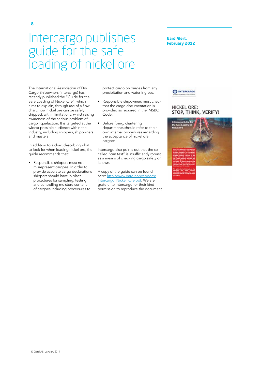### Intercargo publishes guide for the safe loading of nickel ore

The International Association of Dry Cargo Shipowners (Intercargo) has recently published the "Guide for the Safe Loading of Nickel Ore", which aims to explain, through use of a flowchart, how nickel ore can be safely shipped, within limitations, whilst raising awareness of the serious problem of cargo liquefaction. It is targeted at the widest possible audience within the industry, including shippers, shipowners and masters.

In addition to a chart describing what to look for when loading nickel ore, the guide recommends that:

• Responsible shippers must not misrepresent cargoes. In order to provide accurate cargo declarations shippers should have in place procedures for sampling, testing and controlling moisture content of cargoes including procedures to

protect cargo on barges from any precipitation and water ingress.

- Responsible shipowners must check that the cargo documentation is provided as required in the IMSBC Code.
- • Before fixing, chartering departments should refer to their own internal procedures regarding the acceptance of nickel ore cargoes.

Intercargo also points out that the socalled "can test" is insufficiently robust as a means of checking cargo safety on its own.

A copy of the guide can be found here: [http://www.gard.no/webdocs/](http://www.gard.no/webdocs/Intercargo_Nickel_Ore.pdf) [Intercargo\\_Nickel\\_Ore.pdf.](http://www.gard.no/webdocs/Intercargo_Nickel_Ore.pdf) We are grateful to Intercargo for their kind permission to reproduce the document. **CD INTERCARGO** 

**Gard Alert, February 2012**

#### NICKEL ORE: STOP, THINK, VERIFY!

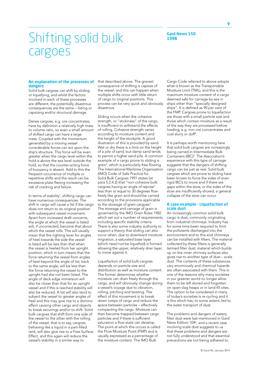## Shifting solid bulk cargoes

#### **An explanation of the processes of** that described above. The gravest **dangers**

Solid bulk cargoes can shift by sliding or liquefying, and whilst the factors involved in each of these processes are different, the potentially disastrous consequences are the same – listing or capsizing and/or structural damage.

Dense cargoes, e.g. ore concentrates, have by definition a relatively high mass to volume ratio, so even a small amount of shifted cargo can have a large mass. Coupled with the momentum generated by a moving vessel considerable forces can act upon the ship's structure. This force will be even greater when the cargo level within the hold is above the sea level outside the hold, so that the counter-acting force of buoyancy is absent. Add to this the frequent occurrence of multiple or repetitive shifts and the result can be excessive plate flexing increasing the risk of cracking and failure.

In terms of stability<sup>1</sup>, shifting cargo can have numerous consequences. The shift in cargo will cause a list if the cargo does not return to its original position with subsequent vessel movement. Apart from increased draft concerns, the angle at which the vessel is listed will, if uncorrected, become that about which the vessel rolls. This will usually mean that the righting lever for angles of heel towards the side the vessel is listed will be less than that when the vessel is heeled from her upright position, which in turn means that the force returning the vessel from angles of heel beyond the angle of list, back to the same angle, will be less than the force returning the vessel to the upright had she not been listed. The angle of deck edge immersion will also be closer than that for an upright vessel and if this is reached stability will also be reduced. A list will also tend to subject the vessel to greater angles of heel and this may give rise to a domino effect causing other cargo and objects to break securings and/or to shift. Solid bulk cargoes that shift from one side of the vessel to the other with the rolling of the vessel, that is to say, cargoes behaving like a liquid in a part-filled tank, will also give rise to a Free Surface Effect, and this again will reduce the vessel's stability in a similar way to

consequence of shifting is capsize of the vessel, and this can happen when multiple shifts occur with little return of cargo to original positions. This process can be very quick and obviously disastrous.

Sliding occurs when the cohesive strength, or "stickiness" of the cargo, is insufficient to withstand the effects of rolling. Cohesive strength varies according to moisture content and the height of the stockpile. A good illustration of this is provided by sand. Wet or dry there is a limit on the height of a pile of sand, but damp sand tends to permit a higher sand pile. A common example of a cargo prone to sliding is grain<sup>2</sup>, which is particularly free flowing. The International Maritime Organisation (IMO) Code of Safe Practice for Solid Bulk Cargoes 1991 states (at para 5.2.4.2) that "non-cohesive bulk cargoes having an angle of repose<sup>3</sup> less than or equal to 30 degrees flow freely like grain and should be carried according to the provisions applicable to the stowage of grain cargoes". The stowage and carriage of grain is governed by the IMO Grain Rules 1982 which set out a number of requirements including specific stability criteria. There is also some industry authority to support a theory that sliding can also occur when, due to downward moisture migration, a saturated base layer (which need not be liquefied) is formed allowing the upper, relatively drier layer, to move against it.

Liquefaction of solid bulk cargoes depends on particle size and distribution as well as moisture content. The former determines whether moisture can drain freely through the cargo, and will obviously change during a vessel's voyage due to vibration, rolling, pitching and twisting. The effect of this movement is to break down lumps of cargo and reduce the space between particles – effectively compacting the cargo. Moisture can then become trapped between cargo particles and if there is sufficient saturation a flow state can develop. The point at which this occurs is called the Flow Moisture Point (FMP) and is usually expressed as a percentage of the moisture content. The IMO Bulk

Cargo Code referred to above adopts what is known as the Transportable Moisture Limit (TML), and this is the maximum moisture content of a cargo deemed safe for carriage by sea in ships other than "specially designed ships". It is defined as 90 per cent of the FMP. Cargoes prone to liquefaction are those with a small particle size and those which contain moisture as a result of the way they are processed before loading, e.g. iron ore concentrates and coal slurry or duff4 .

It is perhaps worth mentioning here that solid bulk cargoes are increasingly being carried in Intermediate Bulk Containers (IBC)<sup>5</sup>. The Association's experience with this type of carriage suggests that the dangers of shifting cargo can be just as real. Solid bulk cargoes which are prone to sliding have been known to force the sides of even rigid IBC's to move and if there are gaps within the stow, or the sides of the stow are insufficiently shored, a general collapse of the stow can occur.

#### **A case example – Liquefaction of scale dust**

An increasingly common solid bulk cargo is dust, commonly originating from industrial chimneys. Industry has for some time been required to limit the pollutants discharged into the environment and to this end chimneys can be installed with filters. The material collected by these filters is generally termed filter dust; material which builds up on the inner chimney surfaces also gives rise to another type of dust – scale dust. The contents of these substances vary enormously and chemical hazards are often associated with them. This is one of the reasons why many societies in our greener world no longer allow them to be left stored and forgotten on open slag heaps or in land-fill sites. The option to be considered in many of today's societies is re-cycling and it is this which has, to some extent, led to the water transport of dust.

The problems and dangers of watery filter dust were last mentioned in Gard News Edition 104<sup>6</sup>, and a recent case involving scale dust suggests to us that these problems and dangers are not fully understood and that essential precautions are not being adhered to.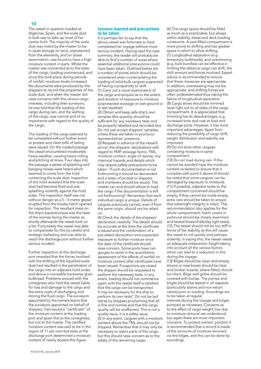#### 10

The vessel in question loaded at Algeciras, Spain, and the scale dust in bulk was to take up most of her centre hold. The majority of the scale dust was noted by the master to be in open storage on land, unprotected from the elements, and on closer examination, was found to have a high moisture content in parts. Whilst the master was concerned as to the state of the cargo, loading commenced, and since this took place during periods of rainfall, moisture levels increased. No documents were produced by the shippers to record the properties of the scale dust, and when the master did raise concerns with the various cargo interests, including their surveyors, he was told that the loading of the cargo during rain, and the wetting of the cargo, was normal and of no importance with regard to the quality of the cargo.

The loading of the cargo seemed to be completed without further event or protest and clean bills of lading were issued. On the loaded passage the vessel encountered moderately heavy weather, causing heavy rolling and pitching at times. Four days into the passage a series of splashing and banging noises were heard which seemed to come from the hold containing the scale dust. Inspection of this hold revealed that the scale dust had become fluid and was splashing violently against the hold sides. The inspection itself was not without danger as a 5 – 6 metre geyser erupted from the booby hatch opened for inspection. The resultant mess on the ship's superstructure was the least of the worries facing the master as shortly afterwards the vessel took on a list. Fortunately the vessel was able to compensate for this by careful and strategic ballasting and was able to reach the discharge port without further serious incident.

Further inspection at the discharge port revealed that the forces involved with the shifting of the liquefied scale dust had resulted in the penetration of the cargo into an adjacent hold under and above a moveable transverse grain bulkhead. Problems ensued with the consignees who held the vessel liable for loss and damage to the cargo and the extra costs of discharging and storing the fluid cargo. The surveyors appointed by the owners learnt that the surveyors appointed on behalf of shippers, had issued a "certificate" of the moisture content at the loading port and given this to the consignees, but not to the master. The certified moisture content was said to be in the region of 11 per cent but tests at the discharge port determined a moisture content of nearly double this figure.

#### **Lessons learned and precautions to be taken**

It is perhaps fair to say that the above vessel was fortunate to have completed her voyage without more serious incident. Having read the case summary, the reader will probably be able to find a number of areas where essential additional precautions could have been taken. Outlined below are a number of points which should be considered when contemplating the loading of solid bulk cargoes suspected of having a propensity to shift. (1) Carry out a visual examination of the cargo and enquire as to the extent and duration of exposure to moisture (unprotected stowage on wet ground or in wet weather).

(2) Obtain and keep safe ship's own samples (the quantity should be sufficient for any necessary tests and be properly labelled and recorded etc). Do not just accept shippers' samples, unless these are taken in your/your representatives' presence. (3) Request in advance of the vessel's arrival, the shippers' declarations with regard to FMP, stowage factor, TML, moisture content, angle of repose, any chemical hazards and details which may require safety precautions to be taken7 . If such documentation is not forthcoming it should be demanded and a letter of protest to shippers and charterers should be issued. The master can and should refuse to load the cargo if the documentation is still not forthcoming<sup>8</sup>. Remember that each individual cargo is unique. Details of cargoes previously carried, even if from the same origin, should not be relied on.

(4) Check the details of the shippers' declaration carefully. The details should be accurate at the time the certificate is issued and the combination of a pre-dated declaration and suspected exposure to further moisture since the date of the certificate should raise concern. Some ports have rain gauges to assist in the quantitative assessment of the effects of rainfall on moisture content after certificates have been issued. If suspicions are raised, the shipper should be requested to perform the necessary tests. In any event, loading should not commence again until the vessel itself is satisfied that the cargo can be transported. It may be necessary for the ship to perform its own tests<sup>9</sup>. Do not be led astray by shippers proclaiming that all is fine and normal and that the cargo quality will be unaffected. This is not a quality issue, it is a safety issue. (5) In any event, cargoes with a moisture content above the TML should not be shipped. Remember that it may only be necessary to reject parts of the cargo, but this should raise concern as to the safety of the remaining cargo.

(6) The cargo space should be filled as much as is practicable, but always within stability, stress and deck loading constraints. A part-filled compartment is more prone to shifting and has greater space in which to allow shifting. (7) Longitudinal separation (e.g. temporary bulkheads), and overstowing (e.g. bulk bundles) can be effective in limiting the distance cargo can shift, the shift amount and forces involved. Expert advice is recommended to ensure that these measures are appropriate. In addition, overstowing may not be appropriate, and shifting forces are often underestimated thus risking the failure of longitudinal separation. (8) Cargo stows should be trimmed level right out to all sides of the cargo compartment. It is appreciated that trimming has its disadvantages, e.g. increased time and cost at load and discharge ports. However, it has more important advantages. Apart from reducing the possibility of cargo shift, weight distribution and stability are improved.

(9) Do not stow other cargoes containing moisture in same compartment.

(10) Do not load during rain. If this cannot be avoided have the moisture content re-tested to ensure that it complies with point 5 above (it should be noted that some cargoes can be damaged by exposure to moisture). (11) If possible, adjacent tanks to the compartment concerned should be empty. If they cannot be made empty, extra care should be taken to ensure that watertight integrity is intact. This recommendation also applies for the whole compartment; hatch covers in particular should be closely examined and tested (hose/chalk/day light tests). (12) The vessel should not be too stiff in terms of her stability as this will cause the vessel to roll quickly and perhaps violently. In saying this, the vessel needs an adequate metacentric height taking into account all the various factors which can lead to a reduction in this during the voyage.

(13) Bilges should be clean and empty, strums or rose boxes should be clear and lumber boards, where fitted, should be intact. Bilge well grilles should be covered with burlap. The pumps and bilges should be tested in all respects (particularly alarms and non-return valves) prior to loading. Soundings are to be taken at regular intervals during the voyage and bilges pumped as necessary. Concerns as to the effect of cargo weight loss due to moisture removal are understood, but again there are more important concerns. To protect owners' position it is recommended that a record is made of the amounts of moisture removed via the bilges, and this can be done by soundings.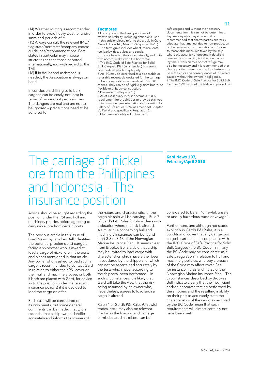(14) Weather routing is recommended in order to avoid heavy weather and/or sustained periods of it.

(15) Always consult the relevant IMO/ flag state/port state/company codes/ guidelines/recommendations. Port states in particular may impose stricter rules than those adopted internationally, e.g. with regard to the TML.

(16) If in doubt and assistance is needed, the Association is always on hand.

In conclusion, shifting solid bulk cargoes can be costly, not least in terms of money, but people's lives. The dangers are real and are not to be ignored – precautions need to be adhered to.

#### **Footnotes**

1 For a guide to the basic principles of transverse stability (including definitions used in this article) please refer to the article in Gard News Edition 145, March 1997 (pages 14–18). 2 The term grain includes wheat, maize, oats, rye, barley, rice, pulses and seeds. 3 The angle which the cargo naturally, and of its own accord, makes with the horizontal. 4 The IMO Code of Safe Practice for Solid Bulk Cargoes 1991 (as amended) lists some commodities which may liquefy. 5 An IBC may be described as a disposable or re-usable receptacle designed for the carriage of bulk commodities in parcels of 0.5 to 3.0 tonnes. They can be of rigid (e.g. fibre board) or flexible (e.g. bags) construction. 6 December 1986 (page 13). 7 As of 1st January 1994 it became a SOLAS requirement for the shipper to provide this type of information. See International Convention for Safety of Life at Sea 1974 (as amended) Chapter

VI, Part A and specifically Regulation 2. 8 Charterers are obliged to load only

safe cargoes and without the necessary documentation this can not be determined. Laytime disputes may arise and it is recommended that charterparties expressly stipulate that time lost due to non-production of the necessary documentation and/or due to reasonable measures taken by the ship where the accuracy of document details is reasonably suspected, is to be counted as laytime. Diversion to a port of refuge may also be necessary and it is recommended that charterparties make provision for charterers to bear the costs and consequences of this where caused without the owners' negligence. 9 The IMO Code of Safe Practice for Solid Bulk Cargoes 1991 sets out the tests and procedures.

### The carriage of nickel ore from the Philippines and Indonesia - The insurance position

Advice should be sought regarding the position under the P&I and hull and machinery policies before agreeing to

carry nickel ore from certain ports.

The previous article in this issue of Gard News, by Brookes Bell, identifies the potential problems and dangers facing a shipowner who is asked to load a cargo of nickel ore in the ports and places mentioned in that article. Any owner who is asked to load such a cargo is recommended to contact Gard in relation to either their P&I cover or their hull and machinery cover, or both if both are placed with Gard, for advice as to the position under the relevant insurance policy(s) if it is decided to load the cargo on offer.

Each case will be considered on its own merits, but some general comments can be made. Firstly, it is essential that a shipowner identifies accurately and informs the insurers of the nature and characteristics of the cargo his ship will be carrying. Rule 7 of Gard's P&I Rules for Ships deals with a situation where the risk is altered. A similar rule concerning hull and machinery insurances can be found in §§ 3-8 to 3-13 of the Norwegian Marine Insurance Plan. It seems clear from Brookes Bell's article that a ship may be invited to load cargo with characteristics which have either been misdeclared by the shippers, or which can not be ascertained accurately by the tests which have, according to the shippers, been performed. In such circumstances, it is likely that Gard will take the view that the risk being assumed by an owner who, nevertheless, agrees to load such a cargo is altered.

Rule 74 of Gard's P&I Rules (Unlawful trades, etc.) may also be relevant insofar as the loading and carriage of misdeclared nickel ore can be

#### **Gard News 197, February/April 2010**

considered to be an "unlawful, unsafe or unduly hazardous trade or voyage".

Furthermore, and although not stated explicitly in Gard's P&I Rules, it is a condition of cover that any dangerous cargo is carried in full compliance with the IMO Code of Safe Practice for Solid Bulk Cargoes (the BC Code). Similarly, the BC Code may be considered as a safety regulation in relation to hull and machinery policies, whereby a breach of the Code may affect cover. See for instance § 3-22 and § 3-25 of the Norwegian Marine Insurance Plan. The circumstances described by Brookes Bell indicate clearly that the insufficient and/or inaccurate testing performed by the shippers and the resulting inability on their part to accurately state the characteristics of the cargo as required by the BC Code mean that such requirements will almost certainly not have been met.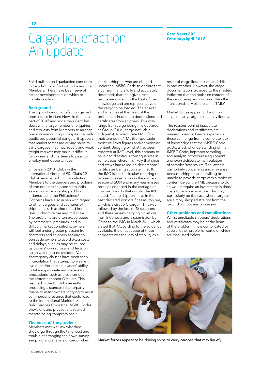#### **Gard News 205, February/April 2012**

Solid bulk cargo liquefaction continues to be a hot topic for P&I Clubs and their Members. There have been several recent developments on which to update readers.

An update

Cargo liquefaction -

#### **Background**

The topic of cargo liquefaction gained prominence in Gard News in the early part of 2010<sup>1</sup> and since then Gard has dealt with a large number of enquiries and requests from Members to arrange precautionary surveys. Despite the wellpublicised potential dangers, it appears that market forces are driving ships to carry cargoes that may liquefy and weak freight markets may make it difficult for owners and charterers to pass up employment opportunities.

Since early 2010, Clubs in the International Group of P&I Clubs (IG Clubs) have issued circulars alerting Members to the dangers and problems of iron ore fines shipped from India as well as nickel ore shipped from Indonesia and the Philippines.2 Concerns have also arisen with regard to other cargoes and countries of shipment, such as sinter feed from Brazil,<sup>3</sup> chromite ore and mill scale. The problems are often exacerbated by commercial pressures, and in difficult market conditions, owners will feel under greater pressure from charterers and shippers seeking to persuade owners to avoid extra costs and delays, such as may be caused by owners' own surveys and tests on cargo waiting to be shipped. Various charterparty clauses have been seen in circulation that attempt to weaken, avoid, and/or restrain owners' ability to take appropriate and necessary precautions, such as those set out in the aforementioned Circulars. This resulted in the IG Clubs recently producing a standard charterparty clause to assist owners in trying to resist commercial pressures that could lead to the International Maritime Solid Bulk Cargoes Code (the IMSBC Code) provisions and precautions related thereto being compromised.4

#### **The heart of the problem**

Members may well ask why they should go through the time, cost and trouble of arranging their own survey, sampling and analysis of cargo, when it is the shippers who are obliged under the IMSBC Code to declare that a consignment is fully and accurately described, that their given test results are correct to the best of their knowledge and are representative of the cargo to be loaded. The answer, and what lies at the heart of the problem, is inaccurate declarations and certificates from shippers. This may range from cargo being mis-declared as Group C (i.e., cargo not liable to liquefy), to inaccurate FMP (flow moisture point)/TML (transportable moisture limit) figures and/or moisture content. Judging by what has been reported at IMO level, this appears to have had disastrous consequences in some cases where it is likely that ships and crews had relied on declarations/ certificates being accurate. In 2010 the IMO issued a circular<sup>5</sup> referring to two serious casualties in the monsoon season of 2009 and many near-misses on ships engaged in the carriage of iron ore fines. In that circular the IMO stated: "some shippers have in the past declared iron ore fines as iron ore, which is a Group C cargo". This was followed by the loss of 45 seafarers and three vessels carrying nickel ore from Indonesia and a submission by China to the IMO in March 2011 which stated that "According to the evidence available, the direct cause of these accidents was the loss of stability as a

result of cargo liquefaction and shift in bad weather. However, the cargo documentation provided to the masters indicated that the moisture content of the cargo samples was lower than the Transportable Moisture Limit (TML)".

Market forces appear to be driving ships to carry cargoes that may liquefy.

The reasons behind inaccurate declarations and certificates are numerous and in Gard's experience these can range from a complete lack of knowledge that the IMSBC Code exists, a lack of understanding of the IMSBC Code, improper sampling and analysis procedures/equipment and even deliberate manipulation of samples/test results. The latter is particularly concerning and may arise because shippers are unwilling or unable to provide cargo with a moisture content below the TML because to do so would require an investment in time/ costs to remove moisture. This may particularly be the case where cargoes are simply shipped straight from the ground without any processing.

#### **Other problems and complications**

Whilst unreliable shippers' declarations and certificates may be at the heart of the problem, this is complicated by several other problems, some of which are discussed below.



Market forces appear to be driving ships to carry cargoes that may liquefy.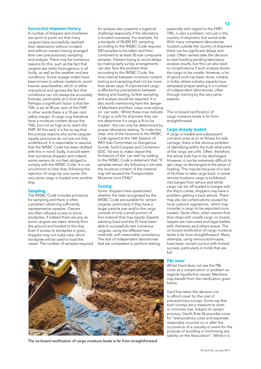#### **Successful shipment history**

A number of shippers and charterers are quick to point out that many cargoes have successfully reached their destination without incident and without owners having arranged their own precautionary sampling and analysis. There may be numerous reasons for this, such as the fact that cargoes are rarely homogenous in all holds, as well as the weather and sea conditions. Some voyage orders have been known to advise masters to avoid heavier seas/weather, which is rather impractical and ignores the fact that conditions can not always be accurately forecast, particularly at a local level. Perhaps a significant factor is that the TML is set at 90 per cent of the FMP, in other words there is a 10 per cent safety margin. A cargo may therefore have a moisture content above the TML, but not so high as to reach the FMP. All this said, it is fair to say that the precise reasons why some cargoes liquefy and some do not are not fully understood. It is reasonable to assume that the IMSBC Code has been drafted with this in mind. Sadly, it would seem that numerous shippers and indeed some owners do not feel obliged to comply with the IMSBC Code. It is not uncommon to hear that, following the rejection of cargo by one owner, the very same cargo is loaded onto another ship.

#### **Sampling**

The IMSBC Code includes provisions for sampling and there is often a problem obtaining sufficiently representative samples. Owners are often refused access to shore stockpiles, if indeed there are any, as some cargoes are taken directly from the ground and loaded to the ship. Even if access to stockpiles is given, shippers may not make clear which stockpiles will be used to load the vessel. The number of samples required

for analysis also presents a logistical challenge (especially if the laboratory is located overseas). For example, for a stockpile of 50,000 MT, sampling according to the IMSBC Code requires 200 samples to be taken and then combined to at least 50 sub-composite samples. Owners trying to avoid delays by making early survey arrangements can also face the problem that, according to the IMSBC Code, the time interval between moisture content testing and sampling shall not be more than seven days. If unprotected cargo is affected by precipitation between testing and loading, further sampling and analysis would be required. It is also worth mentioning here the danger of Members and their crews over-relying on 'can tests'. Whilst these may indicate if cargo is unfit for shipment they can not determine if a cargo is fit to be loaded - this can only be determined by proper laboratory testing. To make this clear, one of the revisions to the IMSBC Code agreed at the 16th Session of IMO Sub-Committee on Dangerous Goods, Solid Cargoes and Containers (DSC 16) was to make clearer the limitations of the 'can test' by adding to the IMSBC Code a statement that "If samples remain dry following a can test, the moisture content of the material may still exceed the Transportable Moisture Limit (TML)".

#### **Testing**

Some shippers have questioned whether the tests recognised by the IMSBC Code are suitable for certain cargoes, particularly if they have a larger particle size and/or the cargo consists of only a small portion of fine material that may liquefy. Experts advising Gard and the IG have been able to successfully test numerous cargoes, using the different test methods, with reasonable consistency. The lack of independent laboratories that are competent to perform testing,

especially with regard to the FMP/ TML, is also a problem, not just in the country of shipment, but world-wide. With many competent laboratories located outside the country of shipment there can be significant delays and costs. Often owners take the decision to start loading pending laboratory analysis results, but this can also lead to complications if such analysis shows the cargo to be unsafe. However, a lot of good work has been done, notably in India, where industry experts have witnessed proper testing in a number of independent laboratories, often through training by the very same experts.

The on-board rectification of cargo moisture levels is far from straightforward.

#### **Cargo already loaded**

If cargo is loaded and subsequent concerns arise as to its fitness for safe carriage, there is the obvious problem of identifying within the bulk what parts of the cargo are unfit. Often, therefore, the whole bulk has to be discharged. However, it can be extremely difficult to get cargo re-discharged at the place of loading. This may be because of a lack of facilities to take cargo back: in some remote locations cargo is bulldozed into barges from ashore and whilst cargo can be off-loaded to barges with the ship's cranes, shippers may have a problem getting it back ashore. There may also be complications caused by local customs regulations, which may consider a cargo to be exported once loaded. Quite often, when owners find their ships with unsafe cargo on board, lawyers are instructed and legal battles with charterers and others ensue. The on-board rectification of cargo moisture levels is far from straightforward. Many attempts, using various techniques, have been carried out but with limited success, particularly in holds that are full.



The on-board rectification of cargo moisture levels is far from straightforward.

#### **P&I cover**

Whilst Gard does not see the P&I cover as a complication or problem as regards liquefaction issues, Members may benefit from the clarification given below.

Gard has taken the decision not to afford cover for the cost of precautionary surveys. Some say that such surveys are a measure to avert or minimise loss. Subject to certain provisos, Gard's Rule 46 provides cover for "extraordinary costs and expenses reasonably incurred on or after the occurrence of a casualty or event for the purpose of avoiding or minimising any liability on the Association". Whilst it is

#### 13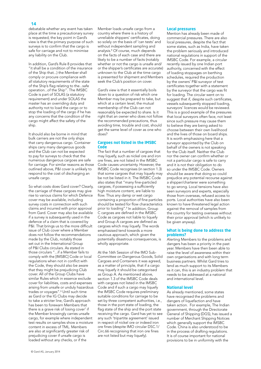#### 14

debatable whether any event has taken place at the time a precautionary survey is requested, the key point in Gard's view is that the primary purpose of such surveys is to confirm that the cargo is safe for carriage and not to minimise any liability on the Club.

In addition, Gard's Rule 8 provides that "it shall be a condition of the insurance of the Ship that...) the Member shall comply or procure compliance with all statutory requirements of the state of the Ship's flag relating to the...safe operation...of the Ship". The IMSBC Code is part of SOLAS (a statutory requirement) and under SOLAS the master has an overriding duty and authority not to load the cargo or to stop the loading of the cargo if he has any concerns that the condition of the cargo might affect the safety of the ship.

It should also be borne in mind that bulk carriers are not the only ships that carry dangerous cargo. Container ships carry many dangerous goods and the Club can not be expected to pay for surveys to check that the numerous dangerous cargoes are safe for carriage. For similar reasons as those outlined above, P&I cover is unlikely to respond to the cost of discharging an unsafe cargo.

So what costs does Gard cover? Clearly, the carriage of these cargoes may give rise to various claims for which Defence cover may be available, including survey costs in connection with such claims and incurred with prior approval from Gard. Cover may also be available if a survey is subsequently used in the defence of a claim that is covered by P&I. That brings us to the more difficult issue of Club cover where a Member does not follow the recommendations made by the Club, notably those set out in the International Group of P&I Clubs circulars. As stated in those circulars "...if a Member fails to comply with the [IMSBC] Code or local regulations when not in conflict with the Code, they should also be aware that they might be prejudicing Club cover. All of the Group Clubs have similar Rules which in essence exclude cover for liabilities, costs and expenses arising from unsafe or unduly hazardous trades or voyages".6 Until such time as Gard or the IG Clubs may decide to take a stricter line, Gard's approach has been to forewarn Members that there is a grave risk of losing cover<sup>7</sup> if the Member knowingly carries unsafe cargo, for example where independent test results on samples show a moisture content in excess of TML. Members are also at significantly greater risk of prejudicing cover if unsafe cargo is loaded without any checks, or if the

Member loads unsafe cargo from a country where there is a history of unreliable shippers' certificates, doing so solely on the basis of 'can tests' and without independent sampling and analysis.8 Of course, much depends on the facts of each case and there are likely to be a number of facts (notably whether or not the cargo is unsafe and/ or the shipper's certificates are accurate) unknown to the Club at the time cargo is presented for shipment and Members seek the Club's position on cover.

Gard's view is that it essentially boils down to a question of risk which one Member may be prepared to take, but which at a certain level, the mutual membership of the Club can not reasonably be expected to share. Is it right that an owner who does not follow the recommended precautions, thus avoiding time, trouble and cost, should get the same level of cover as one who does?

#### **Cargoes not listed in the IMSBC Code**

The fact that a number of cargoes that may liquefy, such as nickel ore and iron ore fines, are not listed in the IMSBC Code causes uncertainty. However, the IMSBC Code recognises (in section 1.3) that some cargoes that may liquefy may be not be listed in it. The IMSBC Code also states that "many fine-particled cargoes, if possessing a sufficiently high moisture content, are liable to flow. Thus any damp or wet cargo containing a proportion of fine particles should be tested for flow characteristics prior to loading".9 In addition, Group C cargoes are defined in the IMSBC Code as cargoes not liable to liquefy and Group A cargoes are defined as cargoes which may liquefy. The words emphasised tend towards a more cautious approach, which given the potentially disastrous consequences, is wholly appropriate.

At the 16th Session of the IMO Sub-Committee on Dangerous Goods, Solid Cargoes and Containers it was agreed, as a matter of principle, that if a cargo may liquefy it should be categorised as Group A. As mentioned above, section 1.3 of the IMSBC Code deals with cargoes not listed in the IMSBC Code and if such a cargo may liquefy the IMSBC Code requires preliminary suitable conditions for carriage to be set by three competent authorities, i.e., those in the port state of loading, the flag state of the ship and the port state receiving the cargo. Gard has yet to see any such 'tripartite agreement' issued in respect of nickel ore or indeed iron ore fines (despite IMO circular DSC.1/ Circ.66 recognising that iron ore fines are not listed but may liquefy).

#### **Local pressures**

Mention has already been made of commercial pressures. There are also local pressures, despite the fact that some states, such as India, have taken the problem seriously and introduced national regulations in support of the IMSBC Code. For example, a circular recently issued by one Indian port authority, concerned with the effect of loading stoppages on berthing schedules, required the production by the owners' P&I surveyor of test certificates together with a statement by the surveyor that the cargo was fit for loading. The circular went on to suggest that if, despite such certificates, vessels subsequently stopped loading, surveyors' licences would be reviewed. This is a good example of the pressures that local surveyors often face, not least since such pressure may cause them to believe they are being asked to choose between their own livelihood and the lives of those on board ships. It is worth emphasising here that a surveyor appointed by the Club on behalf of the owners is not speaking for the Club itself. Neither the Club nor the owner can confirm whether or not a particular cargo is safe to carry and it is not their obligation to do so under the IMSBC Code. Owners should be aware that doing so could prejudice any potential recourse against a shipper/charterer were something to go wrong. Local tensions have also seen surveyors and experts, especially those from overseas, refused access to ports. Local authorities have also been known to have threatened legal action against the removal of samples from the country for testing overseas without their prior approval (which is unlikely to be given anyway).

#### **What is being done to address the problems?**

Alerting Members to the problems and dangers has been a priority in the past year. Members have then been able to raise the level of awareness within their own organisations and with long term business partners. Whilst Gard tries to lend as much support to its Members as it can, this is an industry problem that needs to be addressed at a national and international level.

#### **National level**

As already mentioned, some states have recognised the problems and dangers of liquefaction and have taken action. For example, The Indian government, through the Directorate General of Shipping (DGS), has issued a number of Merchant Shipping Notices which generally support the IMSBC Code. China is also understood to be in the process of drafting regulations. It is of course important for national provisions to be in uniformity with the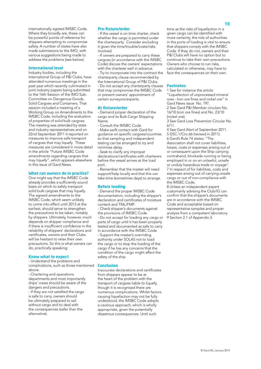#### **International level**

Industry bodies, including the International Group of P&I Clubs, have attended numerous meetings in the past year which recently culminated in joint industry papers being submitted to the 16th Session of the IMO Sub-Committee on Dangerous Goods, Solid Cargoes and Containers. That session included a meeting of a Working Group on Amendments to the IMSBC Code, including the evaluation of properties of solid bulk cargoes. The meeting was attended by state and industry representatives and on 22nd September 2011 it reported on measures to improve safe transport of cargoes that may liquefy. These measures are considered in more detail in the article "Future IMSBC Code amendments regarding cargoes that may liquefy", which appears elsewhere in this issue of Gard News.

#### **What can owners do in practice?**

One might say that the IMSBC Code already provides a sufficiently sound basis on which to safely transport solid bulk cargoes that may liquefy. The agreed amendments to the IMSBC Code, which seem unlikely to come into effect until 2013 at the earliest, should serve to strengthen the precautions to be taken, notably by shippers. Ultimately, however, much depends on shipper compliance and if there is insufficient confidence in the reliability of shippers' declarations and certificates, owners and their Clubs will be hesitant to relax their own precautions. So this is what owners can do, practically speaking:

#### **Know what to expect**

- Understand the problems and complications, such as those mentioned above.

- Chartering and operations departments and most importantly ships' crews should be aware of the dangers and precautions.

- If they are not satisfied the cargo is safe to carry, owners should be ultimately prepared to sail without cargo and to deal with the consequences (safer than the alternative).

#### **Pre-fixture/order**

- If the vessel is on time charter, check whether the cargo is permitted under the charterparty. Consider excluding it given the time/trouble/costs/risks involved.

- If owners are prepared to carry these cargoes (in accordance with the IMSBC Code) discuss the owners' expectations with the charterer well in advance.

- Try to incorporate into the contract the charterparty clause recommended by the International Group of P&I Clubs. - Do not accept any charterparty clauses that may compromise the IMSBC Code or prevent owners' appointment of certain surveyors/experts.

#### **At fixture/order**

- Demand proper declaration of the cargo and its Bulk Cargo Shipping Name.

- Consult the IMSBC Code. - Make swift contact with Gard for guidance on specific cargoes/countries so that sampling and independent testing can be arranged to try and minimise delay.

- Seek to clarify any improper declarations/certificates with charterers before the vessel arrives at the load port.

- Remember that the master will need support/help locally and that this can take time (sometimes days) to arrange.

#### **Before loading**

- Demand the proper IMSBC Code documentation, including the shipper's declaration and certificates of moisture content and TML/FMP.

- Check shipper's documents against the provisions of IMSBC Code.

- Do not accept for loading any cargo or parts of cargo until it has been properly tested and documented as safe to carry in accordance with the IMSBC Code. - Support the master's overriding authority under SOLAS not to load the cargo or to stop the loading of the cargo if he has any concerns that the condition of the cargo might affect the safety of the ship.

#### **Conclusion**

Inaccurate declarations and certificates from shippers appear to be at the heart of the problem with the transport of cargoes liable to liquefy, though it is recognised there are numerous complications. Whilst factors causing liquefaction may not be fully understood, the IMSBC Code adopts a cautious approach, which is wholly appropriate, given the potentially disastrous consequences. Until such

time as the risks of liquefaction in a given cargo can be identified with more certainty, the role of authorities in the ports of loading is vital to ensure that shippers comply with the IMSBC Code. If they do not, owners and their P&I Clubs will have no option but to continue to take their own precautions. Owners who choose to run risks, calculated or otherwise, may have to face the consequences on their own.

#### **Footnotes**

1 See for instance the article "Liquefaction of unprocessed mineral ores - Iron ore fines and nickel ore" in Gard News issue No. 197.

2 See Gard P&I Member circulars No. 16/10 (iron ore fines) and No. 23/10 (nickel ore).

3 See Gard Loss Prevention Circular No. 6/11.

4 See Gard Alert of September 2011. 5 DSC.1/Circ.66 (revised in 2011). 6 Gard's Rule 74 states: "The Association shall not cover liabilities, losses, costs or expenses arising out of or consequent upon the Ship carrying contraband, blockade running or being employed in or on an unlawful, unsafe or unduly hazardous trade or voyage". 7 In respect of for liabilities, costs and expenses arising out of carrying unsafe cargo or out of non-compliance with the IMSBC Code.

8 Unless an independent expert customarily advising the Club/IG can confirm that the shipper's documents are in accordance with the IMSBC Code and acceptable based on representative samples and proper analysis from a competent laboratory. 9 Section 2.1 of Appendix 3.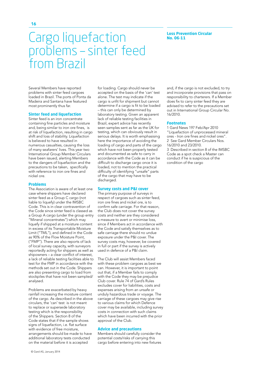### Cargo liquefaction problems – sinter feed from Brazil

Several Members have reported problems with sinter feed cargoes loaded in Brazil. The ports of Ponta da Madeira and Santana have featured most prominently thus far.

#### **Sinter feed and liquefaction**

Sinter feed is an iron concentrate containing fine particles and moisture and, being similar to iron ore fines, is at risk of liquefaction, resulting in cargo shift and loss of stability. Liquefaction is believed to have resulted in numerous casualties, causing the loss of many seafarers' lives. This year two International Group Member Circulars have been issued, alerting Members to the dangers of liquefaction and the precautions to be taken, specifically with reference to iron ore fines and nickel ore.

#### **Problems**

The Association is aware of at least one case where shippers have declared sinter feed as a Group C cargo (not liable to liquefy) under the IMSBC Code. This is in clear contravention of the Code since sinter feed is classed as a Group A cargo (under the group entry "Mineral concentrates") which may liquefy if shipped at a moisture content in excess of its Transportable Moisture Limit ("TML"), and defined in the Code as 90% of the Flow Moisture Point, ("FMP"). There are also reports of lack of local survey capacity, with surveyors reportedly acting for shippers as well as shipowners – a clear conflict of interest, a lack of reliable testing facilities able to test for the FMP in accordance with the methods set out in the Code. Shippers are also presenting cargo to load from stockpiles that have not been sampled/ analysed.

Problems are exacerbated by heavy rainfall increasing the moisture content of the cargo. As described in the above circulars, the 'can' test is not meant to replace or supersede laboratory testing which is the responsibility of the Shippers. Section 8 of the Code states that if the sample shows signs of liquefaction, i.e. flat surface with evidence of free moisture, arrangements should be made to have additional laboratory tests conducted on the material before it is accepted

for loading. Cargo should never be accepted on the basis of the 'can' test alone. The test may indicate if the cargo is unfit for shipment but cannot determine if a cargo is fit to be loaded – this can only be determined by laboratory testing. Given an apparent lack of reliable testing facilities in Brazil, expert advice has recently seen samples sent as far as the UK for testing, which can obviously result in serious delays. It is worth emphasising here the importance of avoiding the loading of cargo and parts of the cargo which have not been properly tested and documented as safe to carry in accordance with the Code as it can be difficult to discharge cargo once it is loaded, not to mention the practical difficulty of identifying "unsafe" parts of the cargo that may have to be discharged.

#### **Survey costs and P&I cover**

The primary purpose of surveys in respect of cargoes such as sinter feed, iron ore fines and nickel ore, is to confirm safe carriage. For that reason, the Club does not cover the survey costs and neither are they considered a measure to avert or minimise loss, since if Members act in accordance with the Code and satisfy themselves as to safe carriage there should no undue exposure under the P&I cover. The survey costs may, however, be covered in full or part if the survey is actively used in defence of a P&I claim.

The Club will assist Members faced with these problem cargoes as best we can. However, it is important to point out that, if a Member fails to comply with the Code they may be prejudice Club cover. Rule 74 of Gard's Rules excludes cover for liabilities, costs and expenses arising from an unsafe or unduly hazardous trade or voyage. The carriage of these cargoes may give rise to various claims for which Defence cover may be available, including survey costs in connection with such claims which have been incurred with the prior approval of the Club.

#### **Advice and precautions**

Members should carefully consider the potential costs/risks of carrying this cargo before entering into new fixtures

and, if the cargo is not excluded, to try and incorporate provisions that pass on responsibility to charterers. If a Member does fix to carry sinter feed they are advised to refer to the precautions set out in International Group Circular No. 16/2010.

**Loss Prevention Circular** 

**No. 06-11**

"Liquefaction of unprocessed mineral ores - Iron ore fines and nickel ores". 2 See Gard Member Circulars Nos. 16/2010 and 23/2010. Code as a spot check a Master can

**Footnotes** 1 Gard News 197 Feb/Apr 2010

3 Described in section 8 of the IMSBC conduct if he is suspicious of the condition of the cargo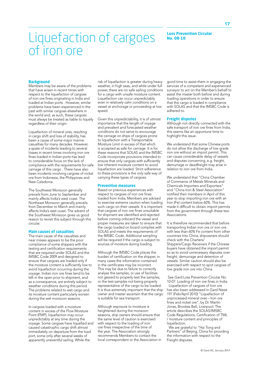#### **Loss Prevention Circular No. 08-10**

### Liquefaction of cargoes of iron ore

#### **Background**

Members may be aware of the problems that have arisen in recent times with respect to the liquefaction of cargoes of iron ore fines originating in India and loaded at Indian ports . However, similar problems have been experienced in the past with similar cargoes elsewhere in the world and, as such, these cargoes must always be treated as liable to liquefy regardless of their origin.

Liquefaction of mineral ores, resulting in cargo shift and loss of stability, has been a cause of some major marine casualties for many decades. However, a spate of incidents leading to several losses in recent times involving iron ore fines loaded in Indian ports has lead to considerable focus on the lack of compliance with the requirements for safe carriage of this cargo . There have also been incidents involving cargoes of nickel ore from Indonesia, the Philippines and New Caledonia.

The Southwest Monsoon generally prevails from June to September and mainly affects India's west coast. The Northeast Monsoon generally prevails from December to March and mainly affects India's east coast. The advent of the Southwest Monsoon gives us good reason to revisit this subject through this circular.

#### **Main causes of casualties**

The main cause of the casualties and near misses appears to be the poor compliance of some shippers with the testing and certification requirements that are required under SOLAS and the IMSBC Code 2009 and designed to ensure that cargoes are loaded only if the moisture content is sufficiently low to avoid liquefaction occurring during the voyage. Indian iron ore fines tend to be left in the open prior to shipment, and as a consequence, are entirely subject to weather conditions during this period. The problems related to wet cargo and its moisture content particularly worsen during the wet monsoon seasons.

In cargoes loaded with a moisture content in excess of the Flow Moisture Point (FMP), liquefaction may occur unpredictably at any time during the voyage. Some cargoes have liquefied and caused catastrophic cargo shift almost immediately on departure from the load port, some only after several weeks of apparently uneventful sailing. While the

risk of liquefaction is greater during heavy weather, in high seas, and while under full power, there are no safe sailing conditions for a cargo with unsafe moisture content. Liquefaction can occur unpredictably even in relatively calm conditions on a vessel at anchorage or proceeding at low speed.

Given this unpredictability, it is of utmost importance that the length of voyage and prevalent and forecasted weather conditions do not serve to encourage the carriage on ships of cargoes prone to liquefaction with a Transportable Moisture Limit in excess of that which is accepted as safe for carriage. It is for these reasons that SOLAS and the IMSBC Code incorporate provisions intended to ensure that only cargoes with sufficiently low inherent moisture content to avoid liquefaction are loaded. Strict adherence to these provisions is the only safe way of carrying these types of cargoes.

#### **Preventive measures**

Based on previous experiences with respect to cargoes of iron ore fines loaded from India, Members are advised to exercise extreme caution when loading such cargo on their vessels. It is important that cargoes of iron ore fines unsuitable for shipment are identified and rejected before coming onboard the vessel and proper measures are taken to ensure that the cargo loaded on board complies with SOLAS and meets the requirements of the IMSBC Code. Additional sampling will be required if the cargo is subject to sources of moisture during loading.

Although the IMSBC Code places the burden of certification on the shipper, in many cases the information contained in the certificates may be incorrect. This may be due to failure to correctly analyse the samples, or use of facilities not geared to properly test the samples, or the test samples not being properly representative of the cargo to be loaded. It is thus extremely important that the ship owner and master ascertain that the cargo is suitable for sea transport.

Although exposure to moisture is heightened during the monsoon seasons, ship owners should ensure that the same level of caution is exercised with respect to the loading of iron ore fines irrespective of the time of the year. The Association strongly recommends Members to contact the local correspondent or the Association in good time to assist them in engaging the services of a competent and experienced surveyor to act on the Member's behalf to assist the master both before and during loading operations in order to ensure that the cargo is loaded in compliance with SOLAS and that the IMSBC Code is adhered to.

#### **Freight disputes**

Although not directly connected with the safe transport of iron ore fines from India, this seems like an opportune time to highlight this issue.

We understand that some Chinese ports do not allow the discharge of low grade iron ore without an import permit. This can cause considerable delay of vessels and disputes concerning, e.g. freight, demurrage or deadfreight may arise in relation to iron ore from India.

We understand that "China Chamber of Commerce of Metals Minerals and Chemicals Importers and Exporters" and "China Iron & Steel Association" notified their members in April of this year to stop importing iron ore with an Iron (Fe) content below 60%. This has made it difficult to obtain import permits from the government through these two Associations.

It is therefore recommended that before transporting Indian iron ore or iron ore with less than 60% Fe content from other countries into China, shipowners should check with the Charters/ Shippers/Cargo Receivers if the Chinese buyers have obtained the import permit so as to avoid unnecessary disputes over freight, demurrage and detention of vessels. Similar caution should also be exercised with respect to spot cargoes of low grade iron ore into China.

 See Gard Loss Prevention Circular No. 10-07: Loading of iron ore fines in India. Liquefaction of cargoes of Iron ore has also been addressed in Gard News 197 (Feb/April 2010) "Liquefaction of unprocessed mineral ores – Iron ore fines and nickel ore", by Dr. Martin Jonas, Brookes Bell, Liverpool. The article describes the SOLAS/IMSBC Code Regulations, Certification of TML / moisture content and principles of liquefaction.

 We are grateful to "Hai Tong and Partners" of Beijing, China for providing the information with respect to the Freight disputes.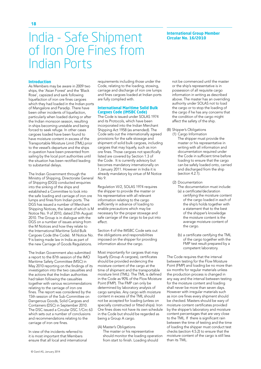### India - Safe Shipment of Iron Ore Fines from Indian Ports

#### **Introduction**

As Members may be aware in 2009 two ships, the 'Asian Forest' and the 'Black Rose', capsized and sank following liquefaction of iron ore fines cargoes which they had loaded in the Indian ports of Mangalore and Paradip. There have been other incidents of liquefaction, particularly when loaded during or after the Indian monsoon season, resulting in ships becoming unstable and being forced to seek refuge. In other cases cargoes loaded have been found to have moisture content in excess of the Transportable Moisture Limit (TML) prior to the vessel's departure and the ships in question have been prevented from sailing by the local port authorities until the situation has been rectified leading to substantial delays.

The Indian Government through the Ministry of Shipping, Directorate General of Shipping (DGS) conducted enquiries into the sinking of the ships and established a Committee to look into the safe loading and carriage of iron ore lumps and fines from Indian ports. The DGS has issued a number of Merchant Shipping Notices, the latest of which is M Notice No. 9 of 2010, dated 27th August 2010. The Group is in dialogue with the DGS on a number of issues arising from the M Notices and how they relate to the International Maritime Solid Bulk Cargoes Code (the Code). M Notice No. 9 is being made law in India as part of the new Carriage of Goods Regulations.

The Indian Government also submitted a report to the 87th session of the IMO Maritime Safety Committee (MSC) in May 2010 reporting on the findings of its investigation into the two casualties and the actions that the Indian authorities had taken following the casualties together with various recommendations relating to the carriage of iron ore fines. The report was considered by the 15th session of the Sub-Committee on Dangerous Goods, Solid Cargoes and Containers (DSC) in September 2010. The DSC issued a Circular DSC.1/Circ 63 which sets out a number of conclusions and recommendations relating to the carriage of iron ore fines.

In view of the incidents referred to it is most important that Members ensure that all local and international requirements including those under the Code, relating to the loading, stowing, carriage and discharge of iron ore lumps and fines cargoes loaded at Indian ports are fully complied with.

#### **International Maritime Solid Bulk Cargoes Code (IMSBC Code)**

The Code is issued under SOLAS 1974 and its Protocols, which have been incorporated into the Indian Merchant Shipping Act 1958 (as amended). The Code sets out the internationally agreed provisions for the safe stowage and shipment of solid bulk cargoes, including cargoes that may liquefy, such as iron ore fines. Those cargoes not specifically listed are covered by Section 1.3 of the Code. It is currently advisory but becomes mandatory internationally on 1 January 2011. However in India it is already mandatory by virtue of M Notice No 9.

Regulation VI/2, SOLAS 1974 requires the shipper to provide the master or his representative with all relevant information relating to the cargo sufficiently in advance of loading to enable precautions which may be necessary for the proper stowage and safe carriage of the cargo to be put into effect.

Section 4 of the IMSBC Code sets out the obligations and responsibilities imposed on the shipper for providing information about the cargo.

Most importantly for cargoes that may liquefy (Group A cargoes), certificates should be provided evidencing the moisture content of the cargo at the time of shipment and the transportable moisture limit (TML). The TML is defined in the Code as 90% of the Flow Moisture Point (FMP). The FMP can only be determined by laboratory analysis of cargo samples. Any cargo with moisture content in excess of the TML should not be accepted for loading (unless on specially constructed or fitted ships). Iron Ore fines does not have its own schedule in the Code but should be regarded as being a Group A cargo.

#### (A) Master's Obligations

The master or his representative should monitor the loading operation from start to finish. Loading should

not be commenced until the master or the ship's representative is in possession of all requisite cargo information in writing as described above. The master has an overriding authority under SOLAS not to load the cargo or to stop the loading of the cargo if he has any concerns that the condition of the cargo might affect the safety of the ship.

(B) Shipper's Obligations

(1) Cargo Information The shipper must provide the master or his representative in writing with all information and documentation required under the Code in sufficient time before loading to ensure that the cargo can be safely loaded onto, carried and discharged from the ship (section 4.2.1).

- (2) Documentation
	- The documentation must include: (a) a certificate/declaration
		- certifying the moisture content of the cargo loaded in each of the ship's holds together with a statement that to the best of the shipper's knowledge the moisture content is the average moisture content of the cargo.
	- (b) a certificate certifying the TML of the cargo together with the FMP test result prepared by a competent laboratory.

The Code requires that the interval between testing for the Flow Moisture Point (FMP) and loading be no more than six months for regular materials unless the production process is changed in any way and the interval between testing for the moisture content and loading shall never be more than seven days. However with irregular materials such as iron ore fines every shipment should be checked. Masters should be wary of moisture content certificates provided by the shipper's laboratory and moisture content percentages that are very close to the TML. If there is significant rain between the time of testing and the time of loading the shipper must conduct test checks (section 4.5.2) to ensure that the moisture content of the cargo is still less than its TML.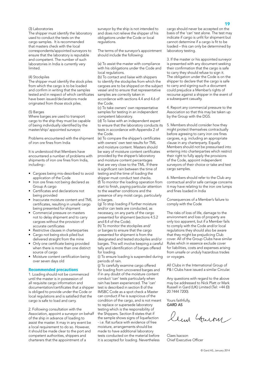#### (3) Laboratories

The shipper must identify the laboratory used to conduct the tests on the cargo samples. It is recommended that masters check with the local correspondents/appointed surveyors to ensure that the laboratory is reputable and competent. The number of such laboratories in India is currently very limited.

#### (4) Stockpiles

The shipper must identify the stock piles from which the cargo is to be loaded and confirm in writing that the samples tested and in respect of which certificates have been issued/declarations made originated from those stock piles.

#### (5) Barges

Where barges are used to transport cargo to the ship they must be capable of being individually identified by the master/ship/ appointed surveyor.

Problems encountered with the shipment of iron ore fines from India

It is understood that Members have encountered a number of problems with shipments of iron ore fines from India, including:-

- • Cargoes being mis-described to avoid application of the Code
- Iron ore fines not being declared as Group A cargo
- Certificates and declarations not being provided
- Inaccurate moisture content and TML certificates, resulting in unsafe cargo being presented for shipment
- Commercial pressure on masters not to delay shipment and to carry cargoes without the provision of accurate certificates
- • Restrictive clauses in charterparties
- Cargo not being stock piled but
- delivered straight from the mine • Only one certificate being provided
- when there is more than one distinct source of cargo
- Moisture content certification being over seven days old

#### **Recommended precautions**

1. Loading should not be commenced until the master is in possession of all requisite cargo information and documentation/certificates that a shipper is obliged to provide under the Code or local regulations and is satisfied that the cargo is safe to load and carry.

2. Following consultation with the Association, appoint a surveyor on behalf of the ship in advance of loading to assist the master. It may in any event be a local requirement to do so. However, it should be made clear to the port and competent authorities, shippers and charterers that the appointment of a

surveyor by the ship is not intended to and does not relieve the shipper of his obligations under the Code or local regulations.

The terms of the surveyor's appointment should include the following:

(a) To assist the master with compliance with his obligations under the Code and local regulations.

(b) To contact and liaise with shippers to identify the stockpiles from which the cargoes are to be shipped on the subject vessel and to ensure that representative samples are correctly taken in accordance with sections 4.4 and 4.6 of

the Code.

(c) To take owners' own representative samples for testing in an independent competent laboratory.

(d) To liaise with an independent expert to ensure that the laboratory conducts its tests in accordance with Appendix 2 of the Code.

(e) To compare the shipper's certificates with owners' own test results for TML and moisture content. Masters should be wary of moisture content certificates provided by the shipper's laboratory and moisture content percentages that are very close to the TML. If there is significant rain between the time of testing and the time of loading the shipper must conduct test checks. (f) To monitor the loading operation from start to finish, paying particular attention to the weather conditions and the presence of any moist cargo, particularly in barges.

(g) To stop loading if further moisture and/or can tests are conducted, as necessary, on any parts of the cargo presented for shipment (sections 4.5.2 and 8.4 of the Code).

(h) To monitor the stockpiles and/ or barges to ensure that the cargo presented for shipment is from the designated and tested stockpiles and/or barges. This will involve keeping a careful tally and identification of barges offered for loading.

(i) To ensure loading is suspended during periods of rain.

(j) To carefully examine cargo offered for loading from uncovered barges and if in any doubt of the moisture content conduct 'can' tests particularly when rain has been experienced. The 'can' test is described in section 8 of the IMSBC Code as a spot check a Master can conduct if he is suspicious of the condition of the cargo, and is not meant to replace or supersede laboratory testing which is the responsibility of the Shippers. Section 8 states that if the sample shows signs of liquefaction - i.e. flat surface with evidence of free moisture, arrangements should be made to have additional laboratory tests conducted on the material before it is accepted for loading. Nevertheless

cargo should never be accepted on the basis of the 'can' test alone. The test may indicate if cargo is unfit for shipment but cannot determine if a cargo is fit to be loaded – this can only be determined by laboratory testing.

3. If the master or his appointed surveyor is presented with any document seeking their confirmation that the cargo is safe to carry they should refuse to sign it. The obligation under the Code is on the shipper to declare that the cargo is safe to carry and signing such a document could prejudice a Member's rights of recourse against a shipper in the event of a subsequent casualty.

4. Report any commercial pressure to the Association so that this may be taken up by the Group with the DGS.

5. Members should consider how they might protect themselves contractually before agreeing to carry iron ore fines cargoes, e.g. including an appropriate clause in any charterparty. Equally Members should not be pressurised into entering into charterparties which restrict their right to fully apply the provisions of the Code, appoint independent surveyors of their choice or take and test cargo samples.

6. Members should refer to the Club any contractual and/or safe carriage concerns it may have relating to the iron ore lumps and fines loaded in India

Consequences of a Member's failure to comply with the Code

The risks of loss of life, damage to the environment and loss of property are only too apparent, but if a Member fails to comply with the Code and/or local regulations they should also be aware that they might be prejudicing Club cover. All of the Group Clubs have similar Rules which in essence exclude cover for liabilities, costs and expenses arising from unsafe or unduly hazardous trades or voyages.

All Clubs in the International Group of P& I Clubs have issued a similar Circular.

Any questions with regard to the above may be addressed to Nick Platt or Mark Russell in Gard (UK) Limited (Tel: +44 (0) 20 7444 7200).

Yours faithfully, GARD AS

lem Gurn

Claes Isacson Chief Executive Officer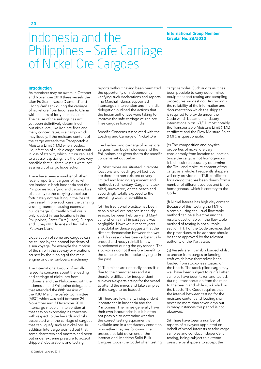#### **International Group Member Circular No. 23/2010**

### Indonesia and the Philippines – Safe Carriage of Nickel Ore Cargoes

#### **Introduction**

As members may be aware in October and November 2010 three vessels the 'Jian Fu Star', 'Nasco Diamond' and 'Hong Wei' sank during the carriage of nickel ore from Indonesia to China with the loss of forty four seafarers. The cause of the sinkings has not yet been definitively determined but nickel ore, like iron ore fines and many concentrates, is a cargo which may liquefy, if the moisture content of the cargo exceeds the Transportable Moisture Limit (TML) when loaded. Liquefaction of such a cargo can result in loss of stability which in turn can lead to a vessel capsizing. It is therefore very possible that all three vessels were lost as a result of cargo liquefaction.

There have been a number of other recent reports of cargoes of nickel ore loaded in both Indonesia and the Philippines liquefying and causing loss of stability to the carrying vessel but fortunately not resulting in the loss of the vessel. In one such case the carrying vessel grounded causing extensive hull damage. Currently nickel ore is only loaded in four locations in the Philippines, Santa Cruz (Luzon), Surigao and Tubay (Mindanao) and Rio Tuba (Palawan Island).

Liquefaction of some ore cargoes can be caused by the normal incidents of a sea voyage, for example the motion of the ship in the seaway or vibrations caused by the running of the main engine or other on-board machinery.

The International Group informally raised its concerns about the loading and carriage of nickel ore from Indonesia and the Philippines, with the Indonesian and Philippine delegations that attended the 88th session of the IMO Maritime Safety Committee (MSC) which was held between 24 November and 3 December 2010. Intercargo made an intervention at that session expressing its concerns with respect to the hazards and risks associated with the carriage of cargoes that can liquefy such as nickel ore. In addition Intercargo pointed out that some charterers and masters had been put under extreme pressure to accept shippers' declarations and testing

reports without having been permitted the opportunity of independently verifying such declarations and reports. The Marshall Islands supported Intercargo's intervention and the Indian delegation outlined the actions that the Indian authorities were taking to improve the safe carriage of iron ore fines cargoes loaded in India.

Specific Concerns Associated with the Loading and Carriage of Nickel Ore

The loading and carriage of nickel ore cargoes from both Indonesia and the Philippines has given rise to the specific concerns set out below.

(a) Most mines are situated in remote locations and loading/port facilities are therefore non-existent or very limited and loading equipment and methods rudimentary. Cargo is stockpiled, uncovered, on the beach and accordingly totally exposed to the prevailing weather conditions.

(b) The traditional practice has been to ship nickel ore cargoes in the dry season, between February and May/ June when rainfall in past years was negligible. However in recent years anecdotal evidence suggests that the distinct demarcation between the wet and dry seasons has been substantially eroded and heavy rainfall is now experienced during the dry season. The stock-piles do not therefore benefit to the same extent from solar-drying as in the past.

(c) The mines are not easily accessible due to their remoteness and it is therefore difficult for independent surveyors/experts acting for the vessel to attend the mines and take samples of the cargo to be loaded.

(d) There are few, if any, independent laboratories in Indonesia and the Philippines. The mines generally have their own laboratories but it is often not possible to determine whether the correct testing equipment is available and in a satisfactory condition or whether they are following the procedures laid down under the International Maritime Solid Bulk Cargoes Code (the Code) when testing

cargo samples. Such audits as it has been possible to carry out of mines equipment and testing and sampling procedures suggest not. Accordingly the reliability of the information and documentation which the shipper is required to provide under the Code which became mandatory internationally on 1/1/11, most notably the Transportable Moisture Limit (TML) certificate and the Flow Moisture Point (FMP), is questionable.

(e) The composition and physical properties of nickel ore vary considerably from location to location. Since the cargo is not homogenous it is difficult to accurately determine the TML and moisture content of the cargo as a whole. Frequently shippers will only provide one TML certificate for a cargo that has been drawn from a number of different sources and is not homogenous, which is contrary to the Code.

(f) Nickel laterite has high clay content. Because of this, testing the FMP of a sample using the usual flow table method can be subjective and the results questionable. If the flow table method of testing is not suitable, section 1.1.1 of the Code provides that the procedures to be adopted should be those approved by the relevant authority of the Port State.

(g) Vessels are invariably loaded whilst at anchor from barges or landing craft which have themselves been loaded from stockpiles situated on the beach. The stock-piled cargo may well have been subject to rainfall after samples have been taken and tested, during transportation from the mine to the beach and while stockpiled on the beach. The Code requires that the interval between testing for the moisture content and loading shall never be more than seven days but in many instances this period is not observed.

(h) There have been a number of reports of surveyors appointed on behalf of vessel interests to take cargo samples and conduct independent testing, being subject to extreme pressure by shippers to accept the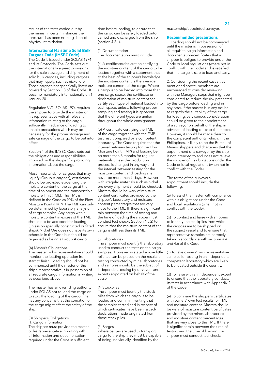results of the tests carried out by the mines. In certain instances the 'pressure' has been nothing short of physical intimidation.

#### **International Maritime Solid Bulk Cargoes Code (IMSBC Code)**

The Code is issued under SOLAS 1974 and its Protocols. The Code sets out the internationally agreed provisions for the safe stowage and shipment of solid bulk cargoes, including cargoes that may liquefy, such as nickel ore. Those cargoes not specifically listed are covered by Section 1.3 of the Code. It became mandatory internationally on 1 January 2011.

Regulation VI/2, SOLAS 1974 requires the shipper to provide the master or his representative with all relevant information relating to the cargo sufficiently in advance of loading to enable precautions which may be necessary for the proper stowage and safe carriage of the cargo to be put into effect.

Section 4 of the IMSBC Code sets out the obligations and responsibilities imposed on the shipper for providing information about the cargo.

Most importantly for cargoes that may liquefy (Group A cargoes), certificates should be provided evidencing the moisture content of the cargo at the time of shipment and the transportable moisture limit (TML). The TML is defined in the Code as 90% of the Flow Moisture Point (FMP). The FMP can only be determined by laboratory analysis of cargo samples. Any cargo with a moisture content in excess of the TML should not be accepted for loading (unless on specially constructed or fitted ships). Nickel Ore does not have its own schedule in the Code but should be regarded as being a Group A cargo.

#### (A) Master's Obligations

The master or his representative should monitor the loading operation from start to finish. Loading should not be commenced until the master or the ship's representative is in possession of all requisite cargo information in writing as described above.

The master has an overriding authority under SOLAS not to load the cargo or to stop the loading of the cargo if he has any concerns that the condition of the cargo might affect the safety of the ship.

(B) Shipper's Obligations

#### (1) Cargo Information

The shipper must provide the master or his representative in writing with all information and documentation required under the Code in sufficient

time before loading, to ensure that the cargo can be safely loaded onto, carried and discharged from the ship (section 4.2.1).

(2) Documentation

The documentation must include:

(a) A certificate/declaration certifying the moisture content of the cargo to be loaded together with a statement that to the best of the shipper's knowledge the moisture content is the average moisture content of the cargo. Where a cargo is to be loaded into more than one cargo space, the certificate or declaration of moisture content shall certify each type of material loaded into each space, unless, following proper sampling and testing it is apparent that the different types are uniform throughout the whole consignment.

(b) A certificate certifying the TML of the cargo together with the FMP test result prepared by a competent laboratory. The Code requires that the interval between testing for the Flow Moisture Point (FMP) and loading be no more than 6 months for regular materials unless the production process is changed in any way and the interval between testing for the moisture content and loading shall never be more than 7 days. However with irregular materials such as nickel ore every shipment should be checked. Masters should be wary of moisture content certificates provided by the shipper's laboratory and moisture content percentages that are very close to the TML. If there is significant rain between the time of testing and the time of loading the shipper must conduct test checks (section 4.5.2) to ensure that the moisture content of the cargo is still less than its TML.

#### (3) Laboratories

The shipper must identify the laboratory used to conduct the tests on the cargo samples. However as stated above little reliance can be placed on the results of testing conducted by mine laboratories and samples should be the subject of independent testing by surveyors and experts appointed on behalf of the vessel.

#### (4) Stockpiles

The shipper must identify the stock piles from which the cargo is to be loaded and confirm in writing that the samples tested and in respect of which certificates have been issued/ declarations made originated from those stock piles.

#### (5) Barges

Where barges are used to transport cargo to the ship they must be capable of being individually identified by the

master/ship/appointed surveyor.

#### **Recommended precautions**

1. Loading should not be commenced until the master is in possession of all requisite cargo information and documentation/certificates that a shipper is obliged to provide under the Code or local regulations (where not in conflict with the Code) and is satisfied that the cargo is safe to load and carry.

2. Considering the recent casualties mentioned above, members are encouraged to consider reviewing with the Managers steps that might be considered to reduce the risk presented by this cargo before loading and in any case, if the master is in any doubt as regards the suitability of the cargo for loading, very serious consideration should be given to the appointment of a surveyor on behalf of the ship in advance of loading to assist the master. However, it should be made clear to the competent authority (which, in the Philippines, is likely to be the Bureau of Mines), shippers and charterers that the appointment of a surveyor by the ship is not intended to and does not relieve the shipper of his obligations under the Code or local regulations (when not in conflict with the Code).

The terms of the surveyor's appointment should include the following:

(a) To assist the master with compliance with his obligations under the Code and local regulations (when not in conflict with the Code).

(b) To contact and liaise with shippers to identify the stockpiles from which the cargoes are to be shipped on the subject vessel and to ensure that representative samples are correctly taken in accordance with sections 4.4 and 4.6 of the Code.

(c) To take owners' own representative samples for testing in an independent competent laboratory which are likely to be located outside the country.

(d) To liaise with an independent expert to ensure that the laboratory conducts its tests in accordance with Appendix 2 of the Code.

(e) To compare the shipper's certificates with owners' own test results for TML and moisture content. Masters should be wary of moisture content certificates provided by the mines laboratories and moisture content percentages that are very close to the TML. If there is significant rain between the time of testing and the time of loading the shipper must conduct test checks.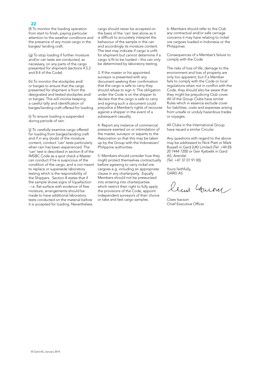(f) To monitor the loading operation from start to finish, paying particular attention to the weather conditions and the presence of any moist cargo in the barges/ landing craft.

(g) To stop loading if further moisture and/or can tests are conducted, as necessary, on any parts of the cargo presented for shipment (sections 4.5.2 and 8.4 of the Code).

(h) To monitor the stockpiles and/ or barges to ensure that the cargo presented for shipment is from the designated and tested stockpiles and/ or barges. This will involve keeping a careful tally and identification of barges/landing craft offered for loading.

(i) To ensure loading is suspended during periods of rain.

(j) To carefully examine cargo offered for loading from barges/landing craft and if in any doubt of the moisture content, conduct 'can' tests particularly when rain has been experienced. The 'can' test is described in section 8 of the IMSBC Code as a spot check a Master can conduct if he is suspicious of the condition of the cargo, and is not meant to replace or supersede laboratory testing which is the responsibility of the Shippers. Section 8 states that if the sample shows signs of liquefaction - i.e. flat surface with evidence of free moisture, arrangements should be made to have additional laboratory tests conducted on the material before it is accepted for loading. Nevertheless

cargo should never be accepted on the basis of the 'can' test alone as it is difficult to accurately interpret the behaviour of the sample in the can and accordingly its moisture content. The test may indicate if cargo is unfit for shipment but cannot determine if a cargo is fit to be loaded – this can only be determined by laboratory testing.

3. If the master or his appointed surveyor is presented with any document seeking their confirmation that the cargo is safe to carry they should refuse to sign it. The obligation under the Code is on the shipper to declare that the cargo is safe to carry and signing such a document could prejudice a Member's rights of recourse against a shipper in the event of a subsequent casualty.

4. Report any instance of commercial pressure exerted on or intimidation of the master, surveyor or experts to the Association so that this may be taken up by the Group with the Indonesian/ Philippine authorities.

5. Members should consider how they might protect themselves contractually before agreeing to carry nickel ore cargoes e.g. including an appropriate clause in any charterparty. Equally Members should not be pressurised into entering into charterparties which restrict their right to fully apply the provisions of the Code, appoint independent surveyors of their choice or take and test cargo samples.

6. Members should refer to the Club any contractual and/or safe carriage concerns it may have relating to nickel ore cargoes loaded in Indonesia or the Philippines

Consequences of a Member's failure to comply with the Code

The risks of loss of life, damage to the environment and loss of property are only too apparent, but if a Member fails to comply with the Code or local regulations when not in conflict with the Code, they should also be aware that they might be prejudicing Club cover. All of the Group Clubs have similar Rules which in essence exclude cover for liabilities, costs and expenses arising from unsafe or unduly hazardous trades or voyages.

All Clubs in the International Group have issued a similar Circular.

Any questions with regard to the above may be addressed to Nick Platt or Mark Russell in Gard (UK) Limited (Tel: +44 (0) 20 7444 7200 or Geir Kjebekk in Gard AS, Arendal (Tel: +47 37 01 91 00).

Yours faithfully, GARD AS

leur Guerre

Claes Isacson Chief Executive Officer

#### 22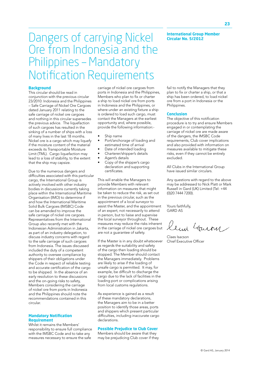### Dangers of carrying Nickel Ore from Indonesia and the Philippines – Mandatory Notification Requirements

#### **Background**

This circular should be read in conjunction with the previous circular 23/2010: Indonesia and the Philippines – Safe Carriage of Nickel Ore Cargoes dated January 2011 relating to the safe carriage of nickel ore cargoes and nothing in this circular supersedes the previous advice. The liquefaction of such cargoes has resulted in the sinking of a number of ships with a loss of many lives in the last 18 months. Nickel ore is a cargo which may liquefy if the moisture content of the material exceeds its Transportable Moisture Limit (TML). Cargo liquefaction may lead to a loss of stability, to the extent that the ship may capsize.

Due to the numerous dangers and difficulties associated with this particular cargo, the International Group is actively involved with other industry bodies in discussions currently taking place within the International Maritime Organisation (IMO) to determine if and how the International Maritime Solid Bulk Cargoes (IMSBC) Code can be amended to improve the safe carriage of nickel ore cargoes. Representatives from the International Group also recently met with the Indonesian Administration in Jakarta, as part of an industry delegation, to discuss industry concerns with regard to the safe carriage of such cargoes from Indonesia. The issues discussed included the duty of a competent authority to oversee compliance by shippers of their obligations under the Code in respect of reliable testing and accurate certification of the cargo to be shipped. In the absence of an early resolution to these discussions and the on-going risks to safety, Members considering the carriage of nickel ore from ports in Indonesia and the Philippines should note the recommendations contained in this circular.

#### **Mandatory Notification Requirement**

Whilst it remains the Members' responsibility to ensure full compliance with the IMSBC Code and to take any measures necessary to ensure the safe

carriage of nickel ore cargoes from ports in Indonesia and the Philippines, Members who plan to fix or charter a ship to load nickel ore from ports in Indonesia and the Philippines, or where under an existing fixture a ship is ordered to load such cargo, must contact the Managers at the earliest opportunity and, where possible, provide the following information:-

- Ship name
- Port/anchorage of loading and estimated time of arrival
- Date of intended loading
- Charterer/shipper's details
- Agent's details
- Copy of the shipper's cargo declaration and supporting certificates.

This will enable the Managers to provide Members with relevant information on measures that might be taken to reduce the risk, as set out in the previous circular, such as the appointment of a local surveyor to assist the Master, and the appointment of an expert, not necessarily to attend in person, but to liaise and supervise the local surveyor throughout. These measures may reduce the risks inherent in the carriage of nickel ore cargoes but are not a guarantee of safety.

If the Master is in any doubt whatsoever as regards the suitability and safety of the cargo then loading should be stopped. The Member should contact the Managers immediately. Problems are likely to arise if the loading of unsafe cargo is permitted. It may, for example, be difficult to discharge the cargo due to the lack of facilities in the loading port or complications arising from local customs regulations.

As experience is gained as a result of these mandatory declarations, the Managers aim to be in a better position to identify those areas, ports and shippers which present particular difficulties, including inaccurate cargo declarations.

#### **Possible Prejudice to Club Cover**

Members should be aware that they may be prejudicing Club cover if they fail to notify the Managers that they plan to fix or charter a ship, or that a ship has been ordered, to load nickel ore from a port in Indonesia or the Philippines.

**International Group Member** 

**Circular No. 5/2012**

#### **Conclusion**

The objective of this notification procedure is to try and ensure Members engaged in or contemplating the carriage of nickel ore are made aware of the dangers, the IMSBC Code requirements, Club cover implications and also provided with information on measures available to mitigate these risks, even if they cannot be entirely excluded.

All Clubs in the International Group have issued similar circulars.

Any questions with regard to the above may be addressed to Nick Platt or Mark Russell in Gard (UK) Limited (Tel: +44 (0)20 7444 7200).

Yours faithfully, GARD AS

leur Guerry

Claes Isacson Chief Executive Officer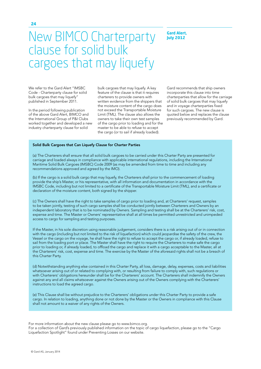**Gard Alert, July 2012** 

### New BIMCO Charterparty clause for solid bulk cargoes that may liquefy

We refer to the Gard Alert "IMSBC Code - Charterparty clause for solid bulk cargoes that may liquefy" published in September 2011.

In the period following publication of the above Gard Alert, BIMCO and the International Group of P&I Clubs worked together and developed a new industry charterparty clause for solid

bulk cargoes that may liquefy. A key feature of the clause is that it requires charterers to provide owners with written evidence from the shippers that the moisture content of the cargo does not exceed the Transportable Moisture Limit (TML). The clause also allows the owners to take their own test samples of the cargo prior to loading and for the master to be able to refuse to accept the cargo (or to sail if already loaded).

Gard recommends that ship owners incorporate this clause into time charterparties that allow for the carriage of solid bulk cargoes that may liquefy and in voyage charterparties fixed for such cargoes. The new clause is quoted below and replaces the clause previously recommended by Gard.

#### Solid Bulk Cargoes that Can Liquefy Clause for Charter Parties

(a) The Charterers shall ensure that all solid bulk cargoes to be carried under this Charter Party are presented for carriage and loaded always in compliance with applicable international regulations, including the International Maritime Solid Bulk Cargoes (IMSBC) Code 2009 (as may be amended from time to time and including any recommendations approved and agreed by the IMO).

(b) If the cargo is a solid bulk cargo that may liquefy, the Charterers shall prior to the commencement of loading provide the ship's Master, or his representative, with all information and documentation in accordance with the IMSBC Code, including but not limited to a certificate of the Transportable Moisture Limit (TML), and a certificate or declaration of the moisture content, both signed by the shipper.

(c) The Owners shall have the right to take samples of cargo prior to loading and, at Charterers' request, samples to be taken jointly, testing of such cargo samples shall be conducted jointly between Charterers and Owners by an independent laboratory that is to be nominated by Owners. Sampling and testing shall be at the Charterers' risk, cost, expense and time. The Master or Owners' representative shall at all times be permitted unrestricted and unimpeded access to cargo for sampling and testing purposes.

If the Master, in his sole discretion using reasonable judgement, considers there is a risk arising out of or in connection with the cargo (including but not limited to the risk of liquefaction) which could jeopardise the safety of the crew, the Vessel or the cargo on the voyage, he shall have the right to refuse to accept the cargo or, if already loaded, refuse to sail from the loading port or place. The Master shall have the right to require the Charterers to make safe the cargo prior to loading or, if already loaded, to offload the cargo and replace it with a cargo acceptable to the Master, all at the Charterers' risk, cost, expense and time. The exercise by the Master of the aforesaid rights shall not be a breach of this Charter Party.

(d) Notwithstanding anything else contained in this Charter Party, all loss, damage, delay, expenses, costs and liabilities whatsoever arising out of or related to complying with, or resulting from failure to comply with, such regulations or with Charterers' obligations hereunder shall be for the Charterers' account. The Charterers shall indemnify the Owners against any and all claims whatsoever against the Owners arising out of the Owners complying with the Charterers' instructions to load the agreed cargo.

(e) This Clause shall be without prejudice to the Charterers' obligations under this Charter Party to provide a safe cargo. In relation to loading, anything done or not done by the Master or the Owners in compliance with this Clause shall not amount to a waiver of any rights of the Owners.

For more information about the new clause please go to www.bimco.org. For a collection of Gard's previously published information on the topic of cargo liquefaction, please go to the "Cargo Liquefaction Spotlight" found under Preventing Losses on our website.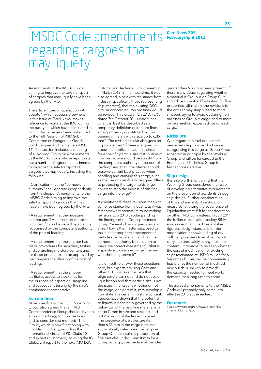### **February/April 2012**

### IMSBC Code amendments February/April 2 regarding cargoes that may liquefy

Amendments to the IMSBC Code aiming to improve the safe transport of cargoes that may liquefy have been agreed by the IMO.

The article "Cargo liquefaction - An update", which appears elsewhere in this issue of Gard News, makes reference to works at the IMO during the past year which have culminated in joint industry papers being submitted to the 16th Session of IMO Sub-Committee on Dangerous Goods, Solid Cargoes and Containers (DSC 16). The session included a meeting of a Working Group on Amendments to the IMSBC Code whose report sets out a number of agreed amendments to improve the safe transport of cargoes that may liquefy, including the following:

- Clarification that the "competent authority" shall operate independently from the shipper. Amendments to the IMSBC Code aiming to improve the safe transport of cargoes that may liquefy have been agreed by the IMO.

- A requirement that the moisture content and TML (transport moisture limit) certificates be issued by an entity recognised by the competent authority of the port of loading.

- A requirement that the shipper has in place procedures for sampling, testing and controlling moisture content and for these procedures to be approved by the competent authority of the port of loading.

- A requirement that the shipper facilitates access to stockpiles for the purpose of inspection, sampling and subsequent testing by the ship's nominated representative.

#### **Iron ore fines**

More specifically, the DSC 16 Working Group also agreed that an IMO Correspondence Group should develop a new schedule(s) for iron ore fines and to consider test methods. This Group, which is now functioning with input from industry, including the International Group of P&I Clubs (IG) and experts customarily advising the IG Clubs, will report to the next IMO DSC

Editorial and Technical Group meeting in March 2012. In the meantime, it was also agreed, albeit with resistance from industry (specifically those representing ship interests), that the existing DSC circular concerning iron ore fines would be revised. This circular (DSC.1.Circ/63, dated 7th October 2011) introduces what can best be described as a temporary definition of iron ore fines: a cargo "mainly constituted by iron bearing minerals with a size up to 6.35 mm". The revised circular also goes on to provide that "if there is a question about the applicability of this circular for a specific particle size distribution of iron ore, advice should be sought from the competent authority of the port of loading" and that "the Master should observe current best practice when handling and carrying this cargo, such as the use of specifically designed filters to protecting the cargo holds bilge covers to stop the ingress of this fine cargo into the bilge".

As mentioned, these revisions met with some resistance from industry, as it was felt somewhat premature to be making revisions to a 2010 circular pending the findings of the Correspondence Group. Several obvious questions also arise. How is the master supposed to make an appropriate assessment of particle size distribution and can the competent authority be relied on to make the correct assessment? What is a specifically designed bilge filter and who should approve it?

It is difficult to answer these questions here, but experts advising Gard and other IG Clubs take the view that bilge covers can not and do not avoid liquefaction and that particle size is not the issue - the issue is whether or not the cargo, or a part of it, may develop a flow state at a certain moisture content. Studies have shown that the potential to liquefy is principally governed by the behaviour of the very fine material in a cargo (1 mm in size and smaller), and not the sizing of the larger material. The presence of particles greater than 6.35 mm in the cargo does not automatically categorise the cargo as Group C. If it contains a proportion of fine particles under 1 mm it may be a Group A cargo, irrespective of particles

greater than 6.35 mm being present. If there is any doubt regarding whether a material is Group A or Group C, it should be submitted for testing for flow properties. Ultimately, the revisions to the circular may simply lead to more shippers trying to avoid declaring iron ore fines as Group A cargo and to more owners seeking expert advice on each cargo.

#### **Nickel Ore**

With regard to nickel ore, a draft new schedule proposed by France categorising this cargo as Group A was accepted in principle by the Working Group and will be forwarded to the Editorial and Technical Group for further consideration.

#### **Ship design**

It is also worth mentioning that the Working Group considered the issue of developing alternative requirements on the prevention of accidents through ship design. Further consideration of this and any stability mitigation measures following the occurrence of liquefaction were left for consideration by other IMO Committees. In July 2011 the Italian classification society RINA announced that it had "established rigorous design standards for the modification or newbuilding of dry bulk cargo carriers to enable them to carry fine ores safely at any moisture content.<sup>1</sup> It remains to be seen whether the cost of modification of existing ships (estimated at USD 3 million for a Supramax bulker) will be commercially feasible, as the number of modified new builds is unlikely to provide the capacity needed to meet world demand for a long time to come.

The agreed amendments to the IMSBC Code will probably only come into effect in 2013 at the earliest.

#### **Footnotes**

1 See www.rina.org/en/news/press/\_file/ attacksnickel\_eng.pdf.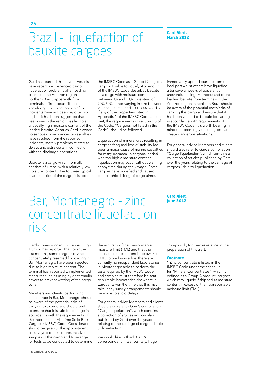### Brazil - liquefaction of bauxite cargoes

Gard has learned that several vessels have recently experienced cargo liquefaction problems after loading bauxite in the Amazon region in northern Brazil, apparently from terminals in Trombetas. To our knowledge, the exact causes of the incidents have not been reported so far, but it has been suggested that heavy rain in the region has led to an unusually high moisture content of the loaded bauxite. As far as Gard is aware, no serious consequences or casualties have resulted from the reported incidents, merely problems related to delays and extra costs in connection with the discharge operations.

Bauxite is a cargo which normally consists of lumps, with a relatively low moisture content. Due to these typical characteristics of the cargo, it is listed in the IMSBC Code as a Group C cargo: a cargo not liable to liquefy. Appendix 1 of the IMSBC Code describes bauxite as a cargo with moisture content between 0% and 10% consisting of 70%-90% lumps varying in size between 2.5 and 500 mm and 10%-30% powder. If any of the properties listed in Appendix 1 of the IMSBC Code are not met, the requirements of section 1.3 of the Code, "Cargoes not listed in this Code", should be followed.

Liquefaction of mineral ores resulting in cargo shifting and loss of stability has been a major cause of marine casualties for many decades. In cargoes loaded with too high a moisture content, liquefaction may occur without warning at any time during the voyage. Some cargoes have liquefied and caused catastrophic shifting of cargo almost

immediately upon departure from the load port whilst others have liquefied after several weeks of apparently uneventful sailing. Members and clients loading bauxite from terminals in the Amazon region in northern Brazil should be aware of the potential costs/risks of carrying this cargo and ensure that it has been verified to be safe for carriage in accordance with requirements of the IMSBC Code. It is worth bearing in mind that seemingly safe cargoes can create dangerous situations.

For general advice Members and clients should also refer to Gard's compilation "Cargo liquefaction", which contains a collection of articles published by Gard over the years relating to the carriage of cargoes liable to liquefaction

### Bar, Montenegro - zinc concentrate liquefaction risk

Gard's correspondent in Genoa, Hugo Trumpy, has reported that, over the last months, some cargoes of zinc concentrate<sup>1</sup> presented for loading in Bar, Montenegro have been rejected due to high moisture content. The terminal has, reportedly, implemented measures such as using nylon tarpaulin covers to prevent wetting of the cargo by rain.

Members and clients loading zinc concentrate in Bar, Montenegro should be aware of the potential risks of carrying this cargo and should seek to ensure that it is safe for carriage in accordance with the requirements of the International Maritime Solid Bulk Cargoes (IMSBC) Code. Consideration should be given to the appointment of surveyors to take representative samples of the cargo and to arrange for tests to be conducted to determine

the accuracy of the transportable moisture limit (TML) and that the actual moisture content is below the TML. To our knowledge, there are currently no independent laboratories in Montenegro able to perform the tests required by the IMSBC Code and samples must therefore be sent to suitable laboratories elsewhere in Europe. Given the time that this may take, early survey arrangements should be made to avoid delays.

For general advice Members and clients should also refer to Gard's compilation "Cargo liquefaction", which contains a collection of articles and circulars published by Gard over the years relating to the carriage of cargoes liable to liquefaction.

We would like to thank Gard's correspondent in Genoa, Italy, Hugo

Trumpy s.r.l., for their assistance in the preparation of this alert.

#### **Footnote**

**Gard Alert, June 2012**

1 Zinc concentrate is listed in the IMSBC Code under the schedule for "Mineral Concentrates", which is defined as a Group A product: cargoes which may liquefy if shipped at moisture content in excess of their transportable moisture limit (TML).